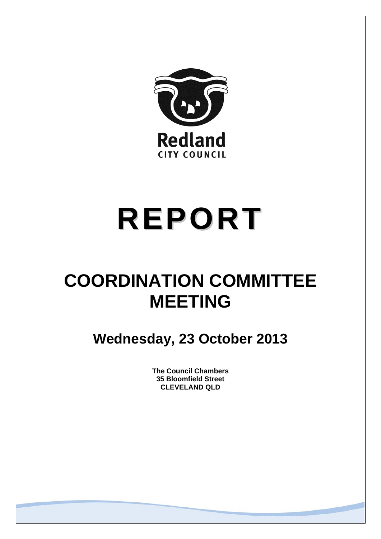

# **REPORT**

# **COORDINATION COMMITTEE MEETING**

**Wednesday, 23 October 2013** 

**The Council Chambers 35 Bloomfield Street CLEVELAND QLD**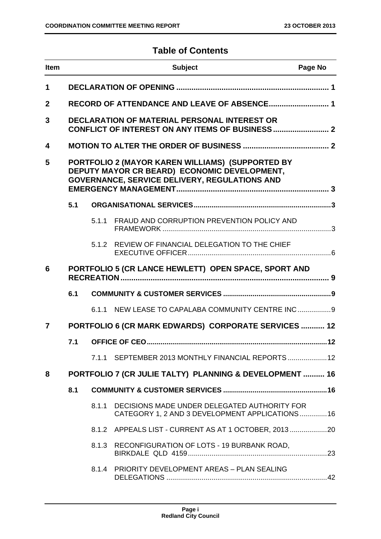# **Table of Contents**

| <b>Item</b>  | <b>Subject</b><br>Page No                            |       |                                                                                                                                                   |  |
|--------------|------------------------------------------------------|-------|---------------------------------------------------------------------------------------------------------------------------------------------------|--|
| 1            |                                                      |       |                                                                                                                                                   |  |
| $\mathbf{2}$ |                                                      |       | RECORD OF ATTENDANCE AND LEAVE OF ABSENCE 1                                                                                                       |  |
| 3            |                                                      |       | DECLARATION OF MATERIAL PERSONAL INTEREST OR                                                                                                      |  |
| 4            |                                                      |       |                                                                                                                                                   |  |
| 5            |                                                      |       | PORTFOLIO 2 (MAYOR KAREN WILLIAMS) (SUPPORTED BY<br>DEPUTY MAYOR CR BEARD) ECONOMIC DEVELOPMENT,<br>GOVERNANCE, SERVICE DELIVERY, REGULATIONS AND |  |
|              | 5.1                                                  |       |                                                                                                                                                   |  |
|              |                                                      | 5.1.1 | FRAUD AND CORRUPTION PREVENTION POLICY AND                                                                                                        |  |
|              |                                                      | 5.1.2 | REVIEW OF FINANCIAL DELEGATION TO THE CHIEF                                                                                                       |  |
| 6            |                                                      |       | PORTFOLIO 5 (CR LANCE HEWLETT) OPEN SPACE, SPORT AND                                                                                              |  |
|              | 6.1                                                  |       |                                                                                                                                                   |  |
|              |                                                      |       | 6.1.1 NEW LEASE TO CAPALABA COMMUNITY CENTRE INC 9                                                                                                |  |
| 7            | PORTFOLIO 6 (CR MARK EDWARDS) CORPORATE SERVICES  12 |       |                                                                                                                                                   |  |
|              | 7.1                                                  |       |                                                                                                                                                   |  |
|              |                                                      |       | 7.1.1 SEPTEMBER 2013 MONTHLY FINANCIAL REPORTS  12                                                                                                |  |
| 8            |                                                      |       | PORTFOLIO 7 (CR JULIE TALTY) PLANNING & DEVELOPMENT  16                                                                                           |  |
|              | 8.1                                                  |       |                                                                                                                                                   |  |
|              |                                                      | 8.1.1 | DECISIONS MADE UNDER DELEGATED AUTHORITY FOR<br>CATEGORY 1, 2 AND 3 DEVELOPMENT APPLICATIONS16                                                    |  |
|              |                                                      |       | 8.1.2 APPEALS LIST - CURRENT AS AT 1 OCTOBER, 2013                                                                                                |  |
|              |                                                      | 8.1.3 | RECONFIGURATION OF LOTS - 19 BURBANK ROAD,                                                                                                        |  |
|              |                                                      |       | 8.1.4 PRIORITY DEVELOPMENT AREAS - PLAN SEALING                                                                                                   |  |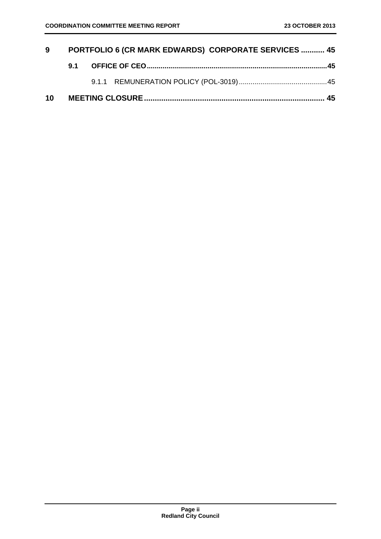| 9  | <b>PORTFOLIO 6 (CR MARK EDWARDS) CORPORATE SERVICES  45</b> |  |  |  |
|----|-------------------------------------------------------------|--|--|--|
|    | 9.1                                                         |  |  |  |
|    |                                                             |  |  |  |
| 10 |                                                             |  |  |  |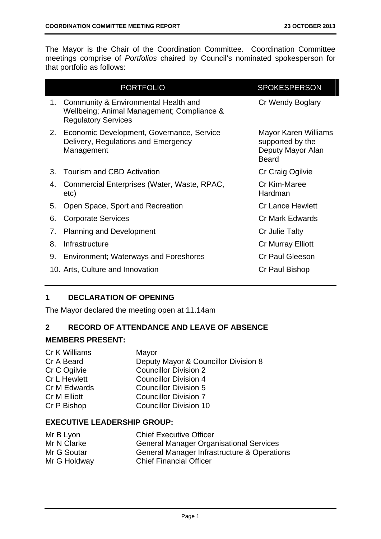The Mayor is the Chair of the Coordination Committee. Coordination Committee meetings comprise of *Portfolios* chaired by Council's nominated spokesperson for that portfolio as follows:

|    | <b>PORTFOLIO</b>                                                                                                 | <b>SPOKESPERSON</b>                                                           |
|----|------------------------------------------------------------------------------------------------------------------|-------------------------------------------------------------------------------|
| 1. | Community & Environmental Health and<br>Wellbeing; Animal Management; Compliance &<br><b>Regulatory Services</b> | Cr Wendy Boglary                                                              |
| 2. | Economic Development, Governance, Service<br>Delivery, Regulations and Emergency<br>Management                   | Mayor Karen Williams<br>supported by the<br>Deputy Mayor Alan<br><b>Beard</b> |
| 3. | Tourism and CBD Activation                                                                                       | Cr Craig Ogilvie                                                              |
| 4. | Commercial Enterprises (Water, Waste, RPAC,<br>etc)                                                              | Cr Kim-Maree<br>Hardman                                                       |
| 5. | Open Space, Sport and Recreation                                                                                 | <b>Cr Lance Hewlett</b>                                                       |
| 6. | <b>Corporate Services</b>                                                                                        | <b>Cr Mark Edwards</b>                                                        |
| 7. | <b>Planning and Development</b>                                                                                  | Cr Julie Talty                                                                |
| 8. | Infrastructure                                                                                                   | Cr Murray Elliott                                                             |
| 9. | <b>Environment; Waterways and Foreshores</b>                                                                     | <b>Cr Paul Gleeson</b>                                                        |
|    | 10. Arts, Culture and Innovation                                                                                 | Cr Paul Bishop                                                                |
|    |                                                                                                                  |                                                                               |

# **1 DECLARATION OF OPENING**

The Mayor declared the meeting open at 11.14am

# **2 RECORD OF ATTENDANCE AND LEAVE OF ABSENCE**

# **MEMBERS PRESENT:**

| Cr K Williams | Mayor                                |
|---------------|--------------------------------------|
| Cr A Beard    | Deputy Mayor & Councillor Division 8 |
| Cr C Ogilvie  | <b>Councillor Division 2</b>         |
| Cr L Hewlett  | <b>Councillor Division 4</b>         |
| Cr M Edwards  | <b>Councillor Division 5</b>         |
| Cr M Elliott  | <b>Councillor Division 7</b>         |
| Cr P Bishop   | <b>Councillor Division 10</b>        |
|               |                                      |

# **EXECUTIVE LEADERSHIP GROUP:**

| Mr B Lyon    | <b>Chief Executive Officer</b>                 |
|--------------|------------------------------------------------|
| Mr N Clarke  | <b>General Manager Organisational Services</b> |
| Mr G Soutar  | General Manager Infrastructure & Operations    |
| Mr G Holdway | <b>Chief Financial Officer</b>                 |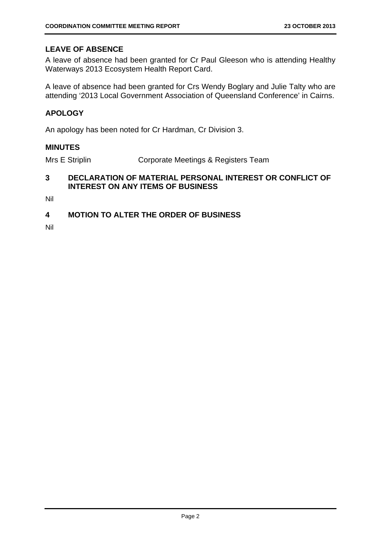# **LEAVE OF ABSENCE**

A leave of absence had been granted for Cr Paul Gleeson who is attending Healthy Waterways 2013 Ecosystem Health Report Card.

A leave of absence had been granted for Crs Wendy Boglary and Julie Talty who are attending '2013 Local Government Association of Queensland Conference' in Cairns.

# **APOLOGY**

An apology has been noted for Cr Hardman, Cr Division 3.

#### **MINUTES**

Mrs E Striplin Corporate Meetings & Registers Team

# **3 DECLARATION OF MATERIAL PERSONAL INTEREST OR CONFLICT OF INTEREST ON ANY ITEMS OF BUSINESS**

Nil

# **4 MOTION TO ALTER THE ORDER OF BUSINESS**

Nil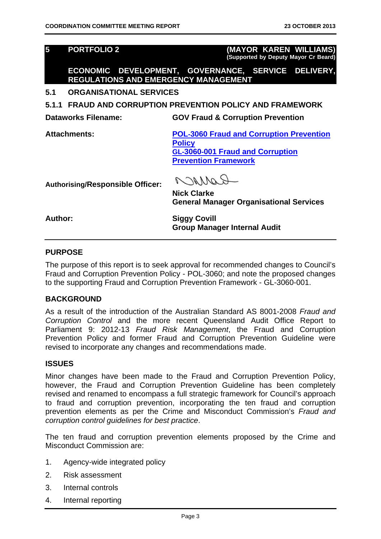**5 PORTFOLIO 2 (MAYOR KAREN WILLIAMS) (Supported by Deputy Mayor Cr Beard)**

**ECONOMIC DEVELOPMENT, GOVERNANCE, SERVICE DELIVERY, REGULATIONS AND EMERGENCY MANAGEMENT** 

**5.1 ORGANISATIONAL SERVICES** 

**5.1.1 FRAUD AND CORRUPTION PREVENTION POLICY AND FRAMEWORK** 

**Dataworks Filename: GOV Fraud & Corruption Prevention** 

**Attachments: POL-3060 Fraud and Corruption Prevention Policy GL-3060-001 Fraud and Corruption Prevention Framework**

**Authorising/Responsible Officer:** 

RAMMA

**Nick Clarke General Manager Organisational Services** 

**Author: Siggy Covill Group Manager Internal Audit** 

# **PURPOSE**

The purpose of this report is to seek approval for recommended changes to Council's Fraud and Corruption Prevention Policy - POL-3060; and note the proposed changes to the supporting Fraud and Corruption Prevention Framework - GL-3060-001.

#### **BACKGROUND**

As a result of the introduction of the Australian Standard AS 8001-2008 *Fraud and Corruption Control* and the more recent Queensland Audit Office Report to Parliament 9: 2012-13 *Fraud Risk Management*, the Fraud and Corruption Prevention Policy and former Fraud and Corruption Prevention Guideline were revised to incorporate any changes and recommendations made.

#### **ISSUES**

Minor changes have been made to the Fraud and Corruption Prevention Policy, however, the Fraud and Corruption Prevention Guideline has been completely revised and renamed to encompass a full strategic framework for Council's approach to fraud and corruption prevention, incorporating the ten fraud and corruption prevention elements as per the Crime and Misconduct Commission's *Fraud and corruption control guidelines for best practice*.

The ten fraud and corruption prevention elements proposed by the Crime and Misconduct Commission are:

- 1. Agency-wide integrated policy
- 2. Risk assessment
- 3. Internal controls
- 4. Internal reporting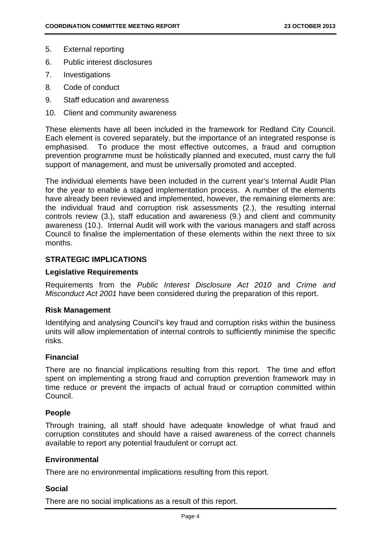- 5. External reporting
- 6. Public interest disclosures
- 7. Investigations
- 8. Code of conduct
- 9. Staff education and awareness
- 10. Client and community awareness

These elements have all been included in the framework for Redland City Council. Each element is covered separately, but the importance of an integrated response is emphasised. To produce the most effective outcomes, a fraud and corruption prevention programme must be holistically planned and executed, must carry the full support of management, and must be universally promoted and accepted.

The individual elements have been included in the current year's Internal Audit Plan for the year to enable a staged implementation process. A number of the elements have already been reviewed and implemented, however, the remaining elements are: the individual fraud and corruption risk assessments (2.), the resulting internal controls review (3.), staff education and awareness (9.) and client and community awareness (10.). Internal Audit will work with the various managers and staff across Council to finalise the implementation of these elements within the next three to six months.

# **STRATEGIC IMPLICATIONS**

### **Legislative Requirements**

Requirements from the *Public Interest Disclosure Act 2010* and *Crime and Misconduct Act 2001* have been considered during the preparation of this report.

#### **Risk Management**

Identifying and analysing Council's key fraud and corruption risks within the business units will allow implementation of internal controls to sufficiently minimise the specific risks.

#### **Financial**

There are no financial implications resulting from this report. The time and effort spent on implementing a strong fraud and corruption prevention framework may in time reduce or prevent the impacts of actual fraud or corruption committed within Council.

#### **People**

Through training, all staff should have adequate knowledge of what fraud and corruption constitutes and should have a raised awareness of the correct channels available to report any potential fraudulent or corrupt act.

#### **Environmental**

There are no environmental implications resulting from this report.

#### **Social**

There are no social implications as a result of this report.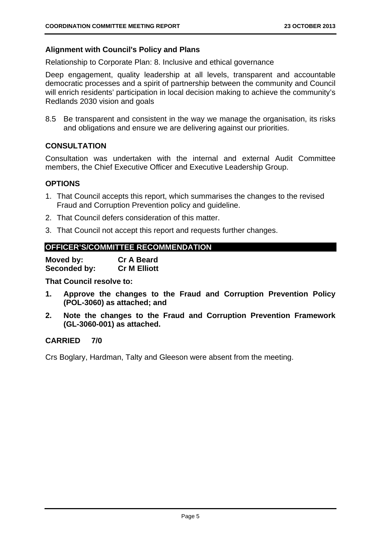# **Alignment with Council's Policy and Plans**

Relationship to Corporate Plan: 8. Inclusive and ethical governance

Deep engagement, quality leadership at all levels, transparent and accountable democratic processes and a spirit of partnership between the community and Council will enrich residents' participation in local decision making to achieve the community's Redlands 2030 vision and goals

8.5 Be transparent and consistent in the way we manage the organisation, its risks and obligations and ensure we are delivering against our priorities.

# **CONSULTATION**

Consultation was undertaken with the internal and external Audit Committee members, the Chief Executive Officer and Executive Leadership Group.

#### **OPTIONS**

- 1. That Council accepts this report, which summarises the changes to the revised Fraud and Corruption Prevention policy and guideline.
- 2. That Council defers consideration of this matter.
- 3. That Council not accept this report and requests further changes.

# **OFFICER'S/COMMITTEE RECOMMENDATION**

| Moved by:    | <b>Cr A Beard</b>   |
|--------------|---------------------|
| Seconded by: | <b>Cr M Elliott</b> |

**That Council resolve to:** 

- **1. Approve the changes to the Fraud and Corruption Prevention Policy (POL-3060) as attached; and**
- **2. Note the changes to the Fraud and Corruption Prevention Framework (GL-3060-001) as attached.**

# **CARRIED 7/0**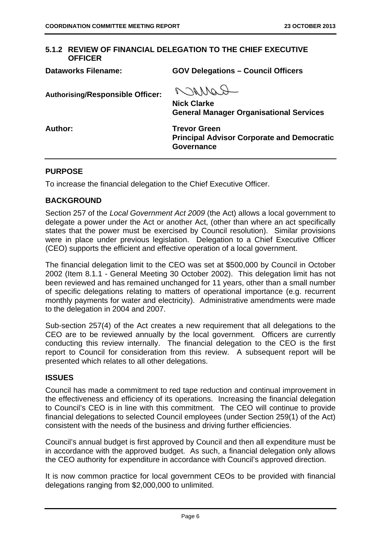#### **5.1.2 REVIEW OF FINANCIAL DELEGATION TO THE CHIEF EXECUTIVE OFFICER**

**Dataworks Filename: GOV Delegations – Council Officers**  RANNaQ **Authorising/Responsible Officer: Nick Clarke General Manager Organisational Services**  Author: Trevor Green **Principal Advisor Corporate and Democratic Governance** 

#### **PURPOSE**

To increase the financial delegation to the Chief Executive Officer.

## **BACKGROUND**

Section 257 of the *Local Government Act 2009* (the Act) allows a local government to delegate a power under the Act or another Act, (other than where an act specifically states that the power must be exercised by Council resolution). Similar provisions were in place under previous legislation. Delegation to a Chief Executive Officer (CEO) supports the efficient and effective operation of a local government.

The financial delegation limit to the CEO was set at \$500,000 by Council in October 2002 (Item 8.1.1 - General Meeting 30 October 2002). This delegation limit has not been reviewed and has remained unchanged for 11 years, other than a small number of specific delegations relating to matters of operational importance (e.g. recurrent monthly payments for water and electricity). Administrative amendments were made to the delegation in 2004 and 2007.

Sub-section 257(4) of the Act creates a new requirement that all delegations to the CEO are to be reviewed annually by the local government. Officers are currently conducting this review internally. The financial delegation to the CEO is the first report to Council for consideration from this review. A subsequent report will be presented which relates to all other delegations.

#### **ISSUES**

Council has made a commitment to red tape reduction and continual improvement in the effectiveness and efficiency of its operations. Increasing the financial delegation to Council's CEO is in line with this commitment. The CEO will continue to provide financial delegations to selected Council employees (under Section 259(1) of the Act) consistent with the needs of the business and driving further efficiencies.

Council's annual budget is first approved by Council and then all expenditure must be in accordance with the approved budget. As such, a financial delegation only allows the CEO authority for expenditure in accordance with Council's approved direction.

It is now common practice for local government CEOs to be provided with financial delegations ranging from \$2,000,000 to unlimited.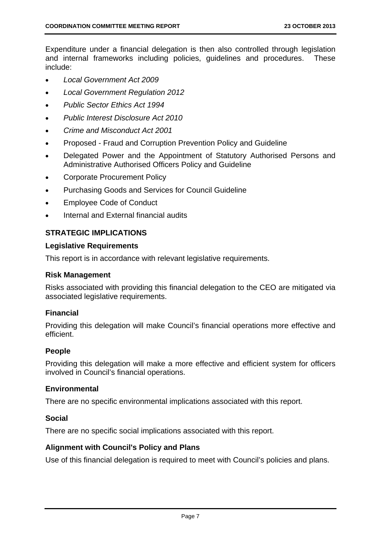Expenditure under a financial delegation is then also controlled through legislation and internal frameworks including policies, guidelines and procedures. These include:

- *Local Government Act 2009*
- *Local Government Regulation 2012*
- *Public Sector Ethics Act 1994*
- *Public Interest Disclosure Act 2010*
- *Crime and Misconduct Act 2001*
- Proposed Fraud and Corruption Prevention Policy and Guideline
- Delegated Power and the Appointment of Statutory Authorised Persons and Administrative Authorised Officers Policy and Guideline
- Corporate Procurement Policy
- Purchasing Goods and Services for Council Guideline
- Employee Code of Conduct
- Internal and External financial audits

# **STRATEGIC IMPLICATIONS**

#### **Legislative Requirements**

This report is in accordance with relevant legislative requirements.

#### **Risk Management**

Risks associated with providing this financial delegation to the CEO are mitigated via associated legislative requirements.

#### **Financial**

Providing this delegation will make Council's financial operations more effective and efficient.

#### **People**

Providing this delegation will make a more effective and efficient system for officers involved in Council's financial operations.

#### **Environmental**

There are no specific environmental implications associated with this report.

#### **Social**

There are no specific social implications associated with this report.

#### **Alignment with Council's Policy and Plans**

Use of this financial delegation is required to meet with Council's policies and plans.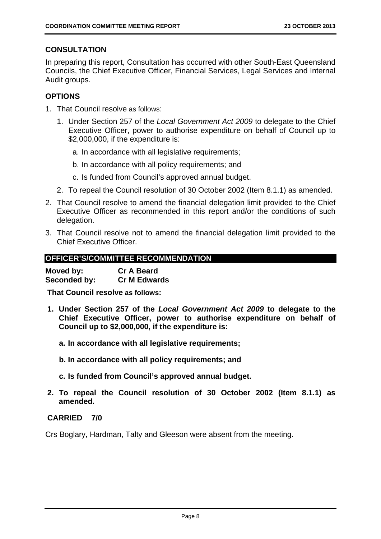# **CONSULTATION**

In preparing this report, Consultation has occurred with other South-East Queensland Councils, the Chief Executive Officer, Financial Services, Legal Services and Internal Audit groups.

# **OPTIONS**

- 1. That Council resolve as follows:
	- 1. Under Section 257 of the *Local Government Act 2009* to delegate to the Chief Executive Officer, power to authorise expenditure on behalf of Council up to \$2,000,000, if the expenditure is:
		- a. In accordance with all legislative requirements;
		- b. In accordance with all policy requirements; and
		- c. Is funded from Council's approved annual budget.
	- 2. To repeal the Council resolution of 30 October 2002 (Item 8.1.1) as amended.
- 2. That Council resolve to amend the financial delegation limit provided to the Chief Executive Officer as recommended in this report and/or the conditions of such delegation.
- 3. That Council resolve not to amend the financial delegation limit provided to the Chief Executive Officer.

# **OFFICER'S/COMMITTEE RECOMMENDATION**

| Moved by:    | <b>Cr A Beard</b>   |
|--------------|---------------------|
| Seconded by: | <b>Cr M Edwards</b> |

**That Council resolve as follows:** 

- **1. Under Section 257 of the** *Local Government Act 2009* **to delegate to the Chief Executive Officer, power to authorise expenditure on behalf of Council up to \$2,000,000, if the expenditure is:** 
	- **a. In accordance with all legislative requirements;**
	- **b. In accordance with all policy requirements; and**
	- **c. Is funded from Council's approved annual budget.**
- **2. To repeal the Council resolution of 30 October 2002 (Item 8.1.1) as amended.**

# **CARRIED 7/0**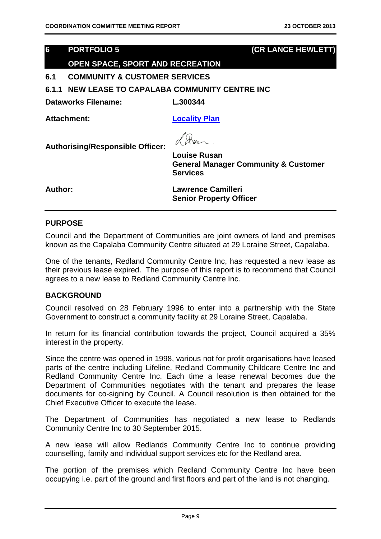# **6 PORTFOLIO 5 (CR LANCE HEWLETT)**

# **OPEN SPACE, SPORT AND RECREATION**

**6.1 COMMUNITY & CUSTOMER SERVICES** 

**6.1.1 NEW LEASE TO CAPALABA COMMUNITY CENTRE INC** 

**Dataworks Filename: L.300344** 

Attachment: **Locality Plan** 

**Authorising/Responsible Officer:** 

**Louise Rusan General Manager Community & Customer Services** 

**Author: Lawrence Camilleri Senior Property Officer** 

#### **PURPOSE**

Council and the Department of Communities are joint owners of land and premises known as the Capalaba Community Centre situated at 29 Loraine Street, Capalaba.

One of the tenants, Redland Community Centre Inc, has requested a new lease as their previous lease expired. The purpose of this report is to recommend that Council agrees to a new lease to Redland Community Centre Inc.

#### **BACKGROUND**

Council resolved on 28 February 1996 to enter into a partnership with the State Government to construct a community facility at 29 Loraine Street, Capalaba.

In return for its financial contribution towards the project, Council acquired a 35% interest in the property.

Since the centre was opened in 1998, various not for profit organisations have leased parts of the centre including Lifeline, Redland Community Childcare Centre Inc and Redland Community Centre Inc. Each time a lease renewal becomes due the Department of Communities negotiates with the tenant and prepares the lease documents for co-signing by Council. A Council resolution is then obtained for the Chief Executive Officer to execute the lease.

The Department of Communities has negotiated a new lease to Redlands Community Centre Inc to 30 September 2015.

A new lease will allow Redlands Community Centre Inc to continue providing counselling, family and individual support services etc for the Redland area.

The portion of the premises which Redland Community Centre Inc have been occupying i.e. part of the ground and first floors and part of the land is not changing.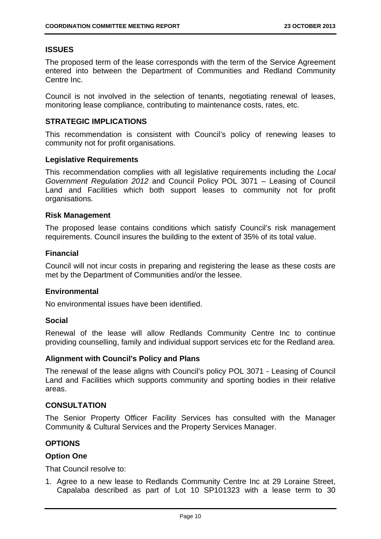# **ISSUES**

The proposed term of the lease corresponds with the term of the Service Agreement entered into between the Department of Communities and Redland Community Centre Inc.

Council is not involved in the selection of tenants, negotiating renewal of leases, monitoring lease compliance, contributing to maintenance costs, rates, etc.

### **STRATEGIC IMPLICATIONS**

This recommendation is consistent with Council's policy of renewing leases to community not for profit organisations.

#### **Legislative Requirements**

This recommendation complies with all legislative requirements including the *Local Government Regulation 2012* and Council Policy POL 3071 – Leasing of Council Land and Facilities which both support leases to community not for profit organisations.

#### **Risk Management**

The proposed lease contains conditions which satisfy Council's risk management requirements. Council insures the building to the extent of 35% of its total value.

# **Financial**

Council will not incur costs in preparing and registering the lease as these costs are met by the Department of Communities and/or the lessee.

#### **Environmental**

No environmental issues have been identified.

#### **Social**

Renewal of the lease will allow Redlands Community Centre Inc to continue providing counselling, family and individual support services etc for the Redland area.

#### **Alignment with Council's Policy and Plans**

The renewal of the lease aligns with Council's policy POL 3071 - Leasing of Council Land and Facilities which supports community and sporting bodies in their relative areas.

#### **CONSULTATION**

The Senior Property Officer Facility Services has consulted with the Manager Community & Cultural Services and the Property Services Manager.

# **OPTIONS**

#### **Option One**

That Council resolve to:

1. Agree to a new lease to Redlands Community Centre Inc at 29 Loraine Street, Capalaba described as part of Lot 10 SP101323 with a lease term to 30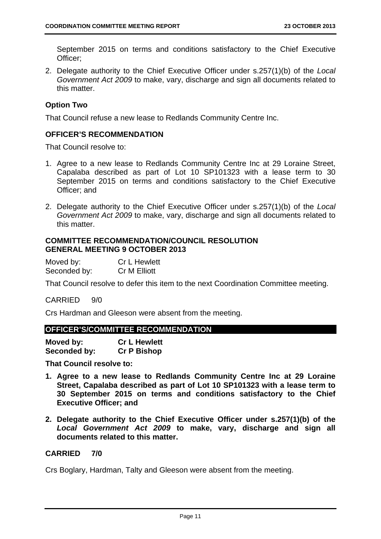September 2015 on terms and conditions satisfactory to the Chief Executive Officer;

2. Delegate authority to the Chief Executive Officer under s.257(1)(b) of the *Local Government Act 2009* to make, vary, discharge and sign all documents related to this matter.

# **Option Two**

That Council refuse a new lease to Redlands Community Centre Inc.

# **OFFICER'S RECOMMENDATION**

That Council resolve to:

- 1. Agree to a new lease to Redlands Community Centre Inc at 29 Loraine Street, Capalaba described as part of Lot 10 SP101323 with a lease term to 30 September 2015 on terms and conditions satisfactory to the Chief Executive Officer; and
- 2. Delegate authority to the Chief Executive Officer under s.257(1)(b) of the *Local Government Act 2009* to make, vary, discharge and sign all documents related to this matter.

#### **COMMITTEE RECOMMENDATION/COUNCIL RESOLUTION GENERAL MEETING 9 OCTOBER 2013**

| Moved by:    | <b>Cr L Hewlett</b> |
|--------------|---------------------|
| Seconded by: | Cr M Elliott        |

That Council resolve to defer this item to the next Coordination Committee meeting.

CARRIED 9/0

Crs Hardman and Gleeson were absent from the meeting.

#### **OFFICER'S/COMMITTEE RECOMMENDATION**

| Moved by:    | <b>Cr L Hewlett</b> |
|--------------|---------------------|
| Seconded by: | <b>Cr P Bishop</b>  |

**That Council resolve to:** 

- **1. Agree to a new lease to Redlands Community Centre Inc at 29 Loraine Street, Capalaba described as part of Lot 10 SP101323 with a lease term to 30 September 2015 on terms and conditions satisfactory to the Chief Executive Officer; and**
- **2. Delegate authority to the Chief Executive Officer under s.257(1)(b) of the**  *Local Government Act 2009* **to make, vary, discharge and sign all documents related to this matter.**

# **CARRIED 7/0**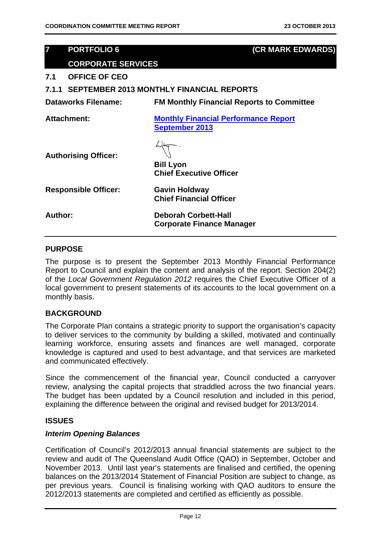# **7 PORTFOLIO 6 (CR MARK EDWARDS)**

# **CORPORATE SERVICES**

**7.1 OFFICE OF CEO** 

**7.1.1 SEPTEMBER 2013 MONTHLY FINANCIAL REPORTS** 

**Dataworks Filename: FM Monthly Financial Reports to Committee** 

**Attachment: Monthly Financial Performance Report September 2013**

**Authorising Officer:** 

**Bill Lyon Chief Executive Officer** 

**Chief Financial Officer** 

**Responsible Officer: Gavin Holdway** 

**Author: Deborah Corbett-Hall Corporate Finance Manager** 

# **PURPOSE**

The purpose is to present the September 2013 Monthly Financial Performance Report to Council and explain the content and analysis of the report. Section 204(2) of the *Local Government Regulation 2012* requires the Chief Executive Officer of a local government to present statements of its accounts to the local government on a monthly basis.

# **BACKGROUND**

The Corporate Plan contains a strategic priority to support the organisation's capacity to deliver services to the community by building a skilled, motivated and continually learning workforce, ensuring assets and finances are well managed, corporate knowledge is captured and used to best advantage, and that services are marketed and communicated effectively.

Since the commencement of the financial year, Council conducted a carryover review, analysing the capital projects that straddled across the two financial years. The budget has been updated by a Council resolution and included in this period, explaining the difference between the original and revised budget for 2013/2014.

#### **ISSUES**

#### *Interim Opening Balances*

Certification of Council's 2012/2013 annual financial statements are subject to the review and audit of The Queensland Audit Office (QAO) in September, October and November 2013. Until last year's statements are finalised and certified, the opening balances on the 2013/2014 Statement of Financial Position are subject to change, as per previous years. Council is finalising working with QAO auditors to ensure the 2012/2013 statements are completed and certified as efficiently as possible.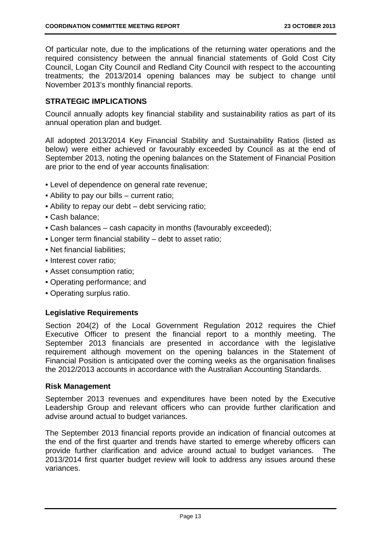Of particular note, due to the implications of the returning water operations and the required consistency between the annual financial statements of Gold Cost City Council, Logan City Council and Redland City Council with respect to the accounting treatments; the 2013/2014 opening balances may be subject to change until November 2013's monthly financial reports.

# **STRATEGIC IMPLICATIONS**

Council annually adopts key financial stability and sustainability ratios as part of its annual operation plan and budget.

All adopted 2013/2014 Key Financial Stability and Sustainability Ratios (listed as below) were either achieved or favourably exceeded by Council as at the end of September 2013, noting the opening balances on the Statement of Financial Position are prior to the end of year accounts finalisation:

- Level of dependence on general rate revenue;
- Ability to pay our bills current ratio;
- Ability to repay our debt debt servicing ratio;
- Cash balance;
- Cash balances cash capacity in months (favourably exceeded);
- Longer term financial stability debt to asset ratio;
- Net financial liabilities:
- Interest cover ratio;
- Asset consumption ratio;
- Operating performance; and
- Operating surplus ratio.

#### **Legislative Requirements**

Section 204(2) of the Local Government Regulation 2012 requires the Chief Executive Officer to present the financial report to a monthly meeting. The September 2013 financials are presented in accordance with the legislative requirement although movement on the opening balances in the Statement of Financial Position is anticipated over the coming weeks as the organisation finalises the 2012/2013 accounts in accordance with the Australian Accounting Standards.

#### **Risk Management**

September 2013 revenues and expenditures have been noted by the Executive Leadership Group and relevant officers who can provide further clarification and advise around actual to budget variances.

The September 2013 financial reports provide an indication of financial outcomes at the end of the first quarter and trends have started to emerge whereby officers can provide further clarification and advice around actual to budget variances. The 2013/2014 first quarter budget review will look to address any issues around these variances.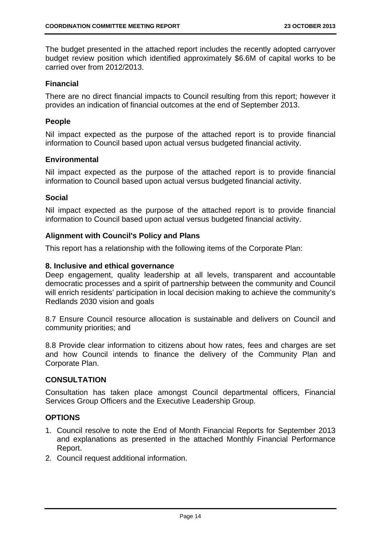The budget presented in the attached report includes the recently adopted carryover budget review position which identified approximately \$6.6M of capital works to be carried over from 2012/2013.

# **Financial**

There are no direct financial impacts to Council resulting from this report; however it provides an indication of financial outcomes at the end of September 2013.

#### **People**

Nil impact expected as the purpose of the attached report is to provide financial information to Council based upon actual versus budgeted financial activity.

#### **Environmental**

Nil impact expected as the purpose of the attached report is to provide financial information to Council based upon actual versus budgeted financial activity.

# **Social**

Nil impact expected as the purpose of the attached report is to provide financial information to Council based upon actual versus budgeted financial activity.

# **Alignment with Council's Policy and Plans**

This report has a relationship with the following items of the Corporate Plan:

# **8. Inclusive and ethical governance**

Deep engagement, quality leadership at all levels, transparent and accountable democratic processes and a spirit of partnership between the community and Council will enrich residents' participation in local decision making to achieve the community's Redlands 2030 vision and goals

8.7 Ensure Council resource allocation is sustainable and delivers on Council and community priorities; and

8.8 Provide clear information to citizens about how rates, fees and charges are set and how Council intends to finance the delivery of the Community Plan and Corporate Plan.

# **CONSULTATION**

Consultation has taken place amongst Council departmental officers, Financial Services Group Officers and the Executive Leadership Group.

# **OPTIONS**

- 1. Council resolve to note the End of Month Financial Reports for September 2013 and explanations as presented in the attached Monthly Financial Performance Report.
- 2. Council request additional information.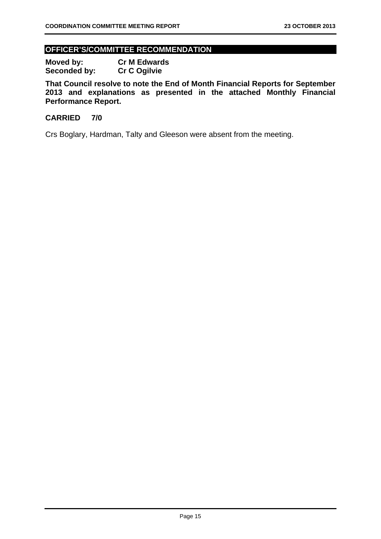# **OFFICER'S/COMMITTEE RECOMMENDATION**

**Moved by: Cr M Edwards**  Seconded by: Cr C Ogilvie

**That Council resolve to note the End of Month Financial Reports for September 2013 and explanations as presented in the attached Monthly Financial Performance Report.** 

# **CARRIED 7/0**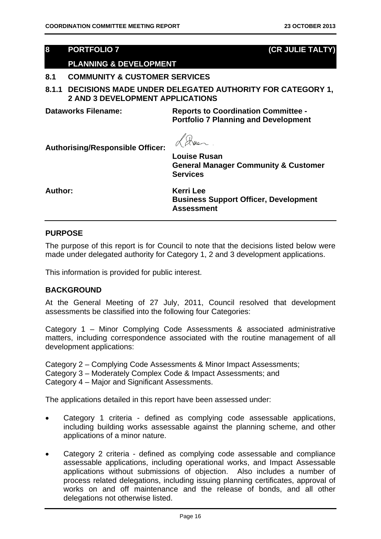# **8 PORTFOLIO 7 (CR JULIE TALTY)**

# **PLANNING & DEVELOPMENT**

# **8.1 COMMUNITY & CUSTOMER SERVICES**

**8.1.1 DECISIONS MADE UNDER DELEGATED AUTHORITY FOR CATEGORY 1, 2 AND 3 DEVELOPMENT APPLICATIONS** 

**Dataworks Filename: Reports to Coordination Committee - Portfolio 7 Planning and Development** 

Ruer.

**Authorising/Responsible Officer:** 

**Louise Rusan General Manager Community & Customer Services** 

**Author: Kerri Lee** 

**Business Support Officer, Development Assessment** 

# **PURPOSE**

The purpose of this report is for Council to note that the decisions listed below were made under delegated authority for Category 1, 2 and 3 development applications.

This information is provided for public interest.

#### **BACKGROUND**

At the General Meeting of 27 July, 2011, Council resolved that development assessments be classified into the following four Categories:

Category 1 – Minor Complying Code Assessments & associated administrative matters, including correspondence associated with the routine management of all development applications:

Category 2 – Complying Code Assessments & Minor Impact Assessments; Category 3 – Moderately Complex Code & Impact Assessments; and Category 4 – Major and Significant Assessments.

The applications detailed in this report have been assessed under:

- Category 1 criteria defined as complying code assessable applications, including building works assessable against the planning scheme, and other applications of a minor nature.
- Category 2 criteria defined as complying code assessable and compliance assessable applications, including operational works, and Impact Assessable applications without submissions of objection. Also includes a number of process related delegations, including issuing planning certificates, approval of works on and off maintenance and the release of bonds, and all other delegations not otherwise listed.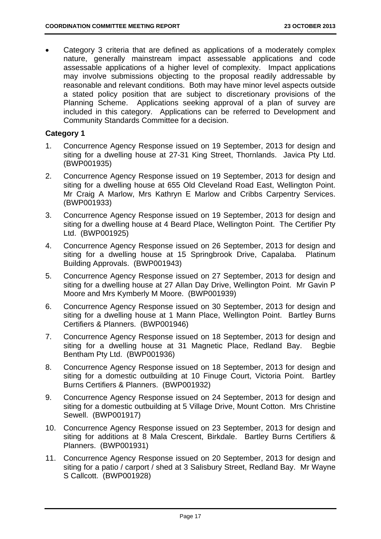Category 3 criteria that are defined as applications of a moderately complex nature, generally mainstream impact assessable applications and code assessable applications of a higher level of complexity. Impact applications may involve submissions objecting to the proposal readily addressable by reasonable and relevant conditions. Both may have minor level aspects outside a stated policy position that are subject to discretionary provisions of the Planning Scheme. Applications seeking approval of a plan of survey are included in this category. Applications can be referred to Development and Community Standards Committee for a decision.

# **Category 1**

- 1. Concurrence Agency Response issued on 19 September, 2013 for design and siting for a dwelling house at 27-31 King Street, Thornlands. Javica Pty Ltd. (BWP001935)
- 2. Concurrence Agency Response issued on 19 September, 2013 for design and siting for a dwelling house at 655 Old Cleveland Road East, Wellington Point. Mr Craig A Marlow, Mrs Kathryn E Marlow and Cribbs Carpentry Services. (BWP001933)
- 3. Concurrence Agency Response issued on 19 September, 2013 for design and siting for a dwelling house at 4 Beard Place, Wellington Point. The Certifier Pty Ltd. (BWP001925)
- 4. Concurrence Agency Response issued on 26 September, 2013 for design and siting for a dwelling house at 15 Springbrook Drive, Capalaba. Platinum Building Approvals. (BWP001943)
- 5. Concurrence Agency Response issued on 27 September, 2013 for design and siting for a dwelling house at 27 Allan Day Drive, Wellington Point. Mr Gavin P Moore and Mrs Kymberly M Moore. (BWP001939)
- 6. Concurrence Agency Response issued on 30 September, 2013 for design and siting for a dwelling house at 1 Mann Place, Wellington Point. Bartley Burns Certifiers & Planners. (BWP001946)
- 7. Concurrence Agency Response issued on 18 September, 2013 for design and siting for a dwelling house at 31 Magnetic Place, Redland Bay. Begbie Bentham Pty Ltd. (BWP001936)
- 8. Concurrence Agency Response issued on 18 September, 2013 for design and siting for a domestic outbuilding at 10 Finuge Court, Victoria Point. Bartley Burns Certifiers & Planners. (BWP001932)
- 9. Concurrence Agency Response issued on 24 September, 2013 for design and siting for a domestic outbuilding at 5 Village Drive, Mount Cotton. Mrs Christine Sewell. (BWP001917)
- 10. Concurrence Agency Response issued on 23 September, 2013 for design and siting for additions at 8 Mala Crescent, Birkdale. Bartley Burns Certifiers & Planners. (BWP001931)
- 11. Concurrence Agency Response issued on 20 September, 2013 for design and siting for a patio / carport / shed at 3 Salisbury Street, Redland Bay. Mr Wayne S Callcott. (BWP001928)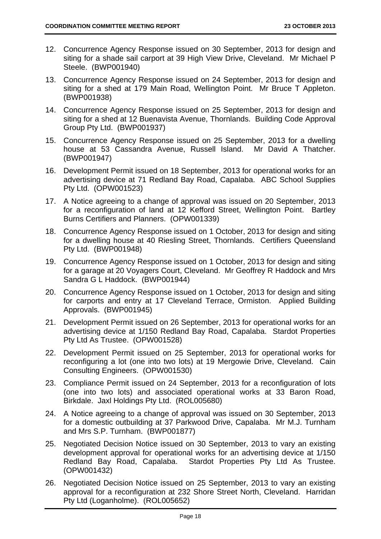- 12. Concurrence Agency Response issued on 30 September, 2013 for design and siting for a shade sail carport at 39 High View Drive, Cleveland. Mr Michael P Steele. (BWP001940)
- 13. Concurrence Agency Response issued on 24 September, 2013 for design and siting for a shed at 179 Main Road, Wellington Point. Mr Bruce T Appleton. (BWP001938)
- 14. Concurrence Agency Response issued on 25 September, 2013 for design and siting for a shed at 12 Buenavista Avenue, Thornlands. Building Code Approval Group Pty Ltd. (BWP001937)
- 15. Concurrence Agency Response issued on 25 September, 2013 for a dwelling house at 53 Cassandra Avenue, Russell Island. Mr David A Thatcher. (BWP001947)
- 16. Development Permit issued on 18 September, 2013 for operational works for an advertising device at 71 Redland Bay Road, Capalaba. ABC School Supplies Pty Ltd. (OPW001523)
- 17. A Notice agreeing to a change of approval was issued on 20 September, 2013 for a reconfiguration of land at 12 Kefford Street, Wellington Point. Bartley Burns Certifiers and Planners. (OPW001339)
- 18. Concurrence Agency Response issued on 1 October, 2013 for design and siting for a dwelling house at 40 Riesling Street, Thornlands. Certifiers Queensland Pty Ltd. (BWP001948)
- 19. Concurrence Agency Response issued on 1 October, 2013 for design and siting for a garage at 20 Voyagers Court, Cleveland. Mr Geoffrey R Haddock and Mrs Sandra G L Haddock. (BWP001944)
- 20. Concurrence Agency Response issued on 1 October, 2013 for design and siting for carports and entry at 17 Cleveland Terrace, Ormiston. Applied Building Approvals. (BWP001945)
- 21. Development Permit issued on 26 September, 2013 for operational works for an advertising device at 1/150 Redland Bay Road, Capalaba. Stardot Properties Pty Ltd As Trustee. (OPW001528)
- 22. Development Permit issued on 25 September, 2013 for operational works for reconfiguring a lot (one into two lots) at 19 Mergowie Drive, Cleveland. Cain Consulting Engineers. (OPW001530)
- 23. Compliance Permit issued on 24 September, 2013 for a reconfiguration of lots (one into two lots) and associated operational works at 33 Baron Road, Birkdale. Jaxl Holdings Pty Ltd. (ROL005680)
- 24. A Notice agreeing to a change of approval was issued on 30 September, 2013 for a domestic outbuilding at 37 Parkwood Drive, Capalaba. Mr M.J. Turnham and Mrs S.P. Turnham. (BWP001877)
- 25. Negotiated Decision Notice issued on 30 September, 2013 to vary an existing development approval for operational works for an advertising device at 1/150 Redland Bay Road, Capalaba. Stardot Properties Pty Ltd As Trustee. (OPW001432)
- 26. Negotiated Decision Notice issued on 25 September, 2013 to vary an existing approval for a reconfiguration at 232 Shore Street North, Cleveland. Harridan Pty Ltd (Loganholme). (ROL005652)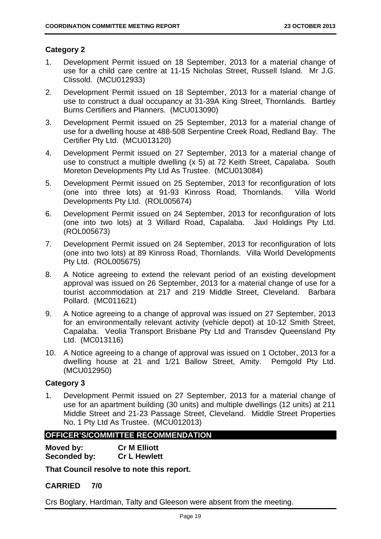# **Category 2**

- 1. Development Permit issued on 18 September, 2013 for a material change of use for a child care centre at 11-15 Nicholas Street, Russell Island. Mr J.G. Clissold. (MCU012933)
- 2. Development Permit issued on 18 September, 2013 for a material change of use to construct a dual occupancy at 31-39A King Street, Thornlands. Bartley Burns Certifiers and Planners. (MCU013090)
- 3. Development Permit issued on 25 September, 2013 for a material change of use for a dwelling house at 488-508 Serpentine Creek Road, Redland Bay. The Certifier Pty Ltd. (MCU013120)
- 4. Development Permit issued on 27 September, 2013 for a material change of use to construct a multiple dwelling (x 5) at 72 Keith Street, Capalaba. South Moreton Developments Pty Ltd As Trustee. (MCU013084)
- 5. Development Permit issued on 25 September, 2013 for reconfiguration of lots (one into three lots) at 91-93 Kinross Road, Thornlands. Villa World Developments Pty Ltd. (ROL005674)
- 6. Development Permit issued on 24 September, 2013 for reconfiguration of lots (one into two lots) at 3 Willard Road, Capalaba. Jaxl Holdings Pty Ltd. (ROL005673)
- 7. Development Permit issued on 24 September, 2013 for reconfiguration of lots (one into two lots) at 89 Kinross Road, Thornlands. Villa World Developments Pty Ltd. (ROL005675)
- 8. A Notice agreeing to extend the relevant period of an existing development approval was issued on 26 September, 2013 for a material change of use for a tourist accommodation at 217 and 219 Middle Street, Cleveland. Barbara Pollard. (MC011621)
- 9. A Notice agreeing to a change of approval was issued on 27 September, 2013 for an environmentally relevant activity (vehicle depot) at 10-12 Smith Street, Capalaba. Veolia Transport Brisbane Pty Ltd and Transdev Queensland Pty Ltd. (MC013116)
- 10. A Notice agreeing to a change of approval was issued on 1 October, 2013 for a dwelling house at 21 and 1/21 Ballow Street, Amity. Pemgold Pty Ltd. (MCU012950)

# **Category 3**

1. Development Permit issued on 27 September, 2013 for a material change of use for an apartment building (30 units) and multiple dwellings (12 units) at 211 Middle Street and 21-23 Passage Street, Cleveland. Middle Street Properties No. 1 Pty Ltd As Trustee. (MCU012013)

# **OFFICER'S/COMMITTEE RECOMMENDATION**

| Moved by:    | <b>Cr M Elliott</b> |
|--------------|---------------------|
| Seconded by: | <b>Cr L Hewlett</b> |

**That Council resolve to note this report.** 

# **CARRIED 7/0**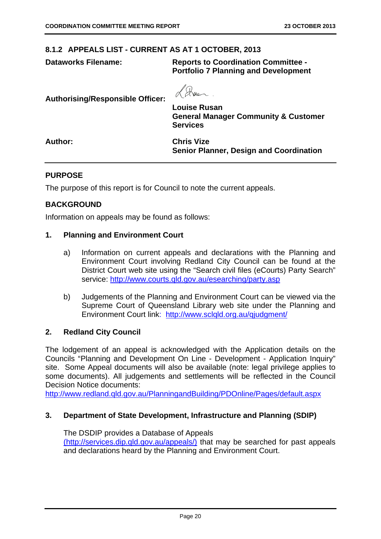#### **8.1.2 APPEALS LIST - CURRENT AS AT 1 OCTOBER, 2013**

**Dataworks Filename: Reports to Coordination Committee - Portfolio 7 Planning and Development** 

**Authorising/Responsible Officer:** 

**Louise Rusan General Manager Community & Customer Services** 

**Author: Chris Vize Senior Planner, Design and Coordination** 

#### **PURPOSE**

The purpose of this report is for Council to note the current appeals.

# **BACKGROUND**

Information on appeals may be found as follows:

#### **1. Planning and Environment Court**

- a) Information on current appeals and declarations with the Planning and Environment Court involving Redland City Council can be found at the District Court web site using the "Search civil files (eCourts) Party Search" service: http://www.courts.qld.gov.au/esearching/party.asp
- b) Judgements of the Planning and Environment Court can be viewed via the Supreme Court of Queensland Library web site under the Planning and Environment Court link: http://www.sclqld.org.au/qjudgment/

#### **2. Redland City Council**

The lodgement of an appeal is acknowledged with the Application details on the Councils "Planning and Development On Line - Development - Application Inquiry" site. Some Appeal documents will also be available (note: legal privilege applies to some documents). All judgements and settlements will be reflected in the Council Decision Notice documents:

http://www.redland.qld.gov.au/PlanningandBuilding/PDOnline/Pages/default.aspx

#### **3. Department of State Development, Infrastructure and Planning (SDIP)**

The DSDIP provides a Database of Appeals (http://services.dip.qld.gov.au/appeals/) that may be searched for past appeals and declarations heard by the Planning and Environment Court.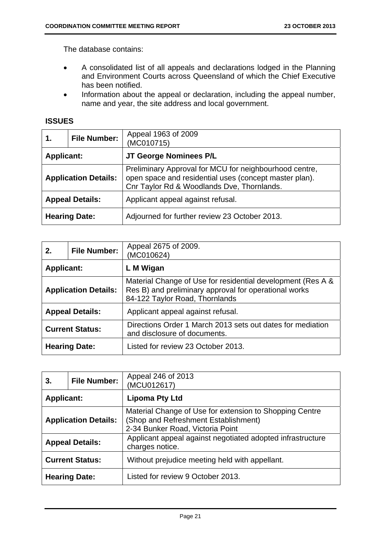The database contains:

- A consolidated list of all appeals and declarations lodged in the Planning and Environment Courts across Queensland of which the Chief Executive has been notified.
- Information about the appeal or declaration, including the appeal number, name and year, the site address and local government.

# **ISSUES**

| 1.                          | <b>File Number:</b> | Appeal 1963 of 2009<br>(MC010715)                                                                                                                              |
|-----------------------------|---------------------|----------------------------------------------------------------------------------------------------------------------------------------------------------------|
| <b>Applicant:</b>           |                     | JT George Nominees P/L                                                                                                                                         |
| <b>Application Details:</b> |                     | Preliminary Approval for MCU for neighbourhood centre,<br>open space and residential uses (concept master plan).<br>Cnr Taylor Rd & Woodlands Dve, Thornlands. |
| <b>Appeal Details:</b>      |                     | Applicant appeal against refusal.                                                                                                                              |
| <b>Hearing Date:</b>        |                     | Adjourned for further review 23 October 2013.                                                                                                                  |

| 2.                          | <b>File Number:</b> | Appeal 2675 of 2009.<br>(MC010624)                                                                                                                     |
|-----------------------------|---------------------|--------------------------------------------------------------------------------------------------------------------------------------------------------|
| <b>Applicant:</b>           |                     | L M Wigan                                                                                                                                              |
| <b>Application Details:</b> |                     | Material Change of Use for residential development (Res A &<br>Res B) and preliminary approval for operational works<br>84-122 Taylor Road, Thornlands |
| <b>Appeal Details:</b>      |                     | Applicant appeal against refusal.                                                                                                                      |
| <b>Current Status:</b>      |                     | Directions Order 1 March 2013 sets out dates for mediation<br>and disclosure of documents.                                                             |
| <b>Hearing Date:</b>        |                     | Listed for review 23 October 2013.                                                                                                                     |

| 3.                          | <b>File Number:</b>  | Appeal 246 of 2013<br>(MCU012617)                                                                                                   |
|-----------------------------|----------------------|-------------------------------------------------------------------------------------------------------------------------------------|
| <b>Applicant:</b>           |                      | <b>Lipoma Pty Ltd</b>                                                                                                               |
| <b>Application Details:</b> |                      | Material Change of Use for extension to Shopping Centre<br>(Shop and Refreshment Establishment)<br>2-34 Bunker Road, Victoria Point |
| <b>Appeal Details:</b>      |                      | Applicant appeal against negotiated adopted infrastructure<br>charges notice.                                                       |
| <b>Current Status:</b>      |                      | Without prejudice meeting held with appellant.                                                                                      |
|                             | <b>Hearing Date:</b> | Listed for review 9 October 2013.                                                                                                   |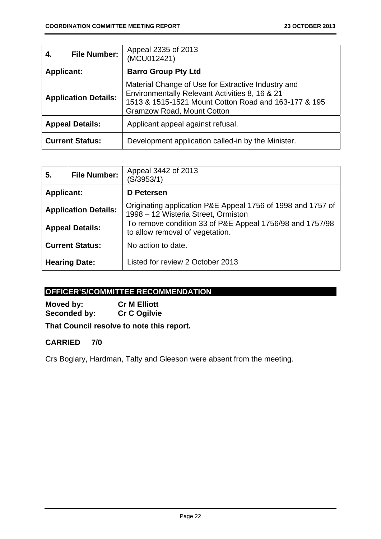| 4.                          | <b>File Number:</b> | Appeal 2335 of 2013<br>(MCU012421)                                                                                                                                                                |  |
|-----------------------------|---------------------|---------------------------------------------------------------------------------------------------------------------------------------------------------------------------------------------------|--|
| <b>Applicant:</b>           |                     | <b>Barro Group Pty Ltd</b>                                                                                                                                                                        |  |
| <b>Application Details:</b> |                     | Material Change of Use for Extractive Industry and<br>Environmentally Relevant Activities 8, 16 & 21<br>1513 & 1515-1521 Mount Cotton Road and 163-177 & 195<br><b>Gramzow Road, Mount Cotton</b> |  |
| <b>Appeal Details:</b>      |                     | Applicant appeal against refusal.                                                                                                                                                                 |  |
| <b>Current Status:</b>      |                     | Development application called-in by the Minister.                                                                                                                                                |  |

| 5.                          | <b>File Number:</b>  | Appeal 3442 of 2013<br>(S/3953/1)                                                                  |
|-----------------------------|----------------------|----------------------------------------------------------------------------------------------------|
| <b>Applicant:</b>           |                      | <b>D</b> Petersen                                                                                  |
| <b>Application Details:</b> |                      | Originating application P&E Appeal 1756 of 1998 and 1757 of<br>1998 – 12 Wisteria Street, Ormiston |
| <b>Appeal Details:</b>      |                      | To remove condition 33 of P&E Appeal 1756/98 and 1757/98<br>to allow removal of vegetation.        |
| <b>Current Status:</b>      |                      | No action to date.                                                                                 |
|                             | <b>Hearing Date:</b> | Listed for review 2 October 2013                                                                   |

# **OFFICER'S/COMMITTEE RECOMMENDATION**

**Moved by: Cr M Elliott**  Seconded by: Cr C Ogilvie

**That Council resolve to note this report.** 

# **CARRIED 7/0**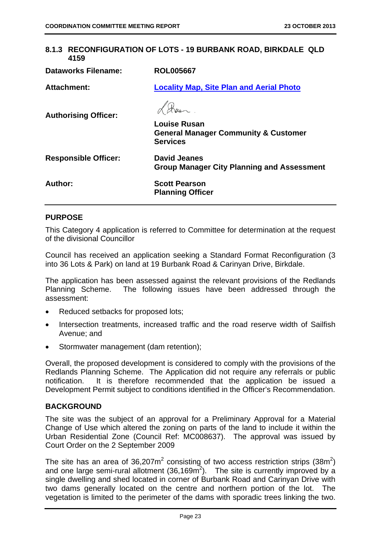# **8.1.3 RECONFIGURATION OF LOTS - 19 BURBANK ROAD, BIRKDALE QLD 4159**

| <b>Dataworks Filename:</b>  | <b>ROL005667</b>                                                                          |
|-----------------------------|-------------------------------------------------------------------------------------------|
| Attachment:                 | <b>Locality Map, Site Plan and Aerial Photo</b>                                           |
| <b>Authorising Officer:</b> | <b>Louise Rusan</b><br><b>General Manager Community &amp; Customer</b><br><b>Services</b> |
| <b>Responsible Officer:</b> | <b>David Jeanes</b><br><b>Group Manager City Planning and Assessment</b>                  |
| Author:                     | <b>Scott Pearson</b><br><b>Planning Officer</b>                                           |

# **PURPOSE**

This Category 4 application is referred to Committee for determination at the request of the divisional Councillor

Council has received an application seeking a Standard Format Reconfiguration (3 into 36 Lots & Park) on land at 19 Burbank Road & Carinyan Drive, Birkdale.

The application has been assessed against the relevant provisions of the Redlands Planning Scheme. The following issues have been addressed through the assessment:

- Reduced setbacks for proposed lots;
- Intersection treatments, increased traffic and the road reserve width of Sailfish Avenue; and
- Stormwater management (dam retention);

Overall, the proposed development is considered to comply with the provisions of the Redlands Planning Scheme. The Application did not require any referrals or public notification. It is therefore recommended that the application be issued a Development Permit subject to conditions identified in the Officer's Recommendation.

# **BACKGROUND**

The site was the subject of an approval for a Preliminary Approval for a Material Change of Use which altered the zoning on parts of the land to include it within the Urban Residential Zone (Council Ref: MC008637). The approval was issued by Court Order on the 2 September 2009

The site has an area of 36,207 $m^2$  consisting of two access restriction strips (38 $m^2$ ) and one large semi-rural allotment  $(36,169m^2)$ . The site is currently improved by a single dwelling and shed located in corner of Burbank Road and Carinyan Drive with two dams generally located on the centre and northern portion of the lot. The vegetation is limited to the perimeter of the dams with sporadic trees linking the two.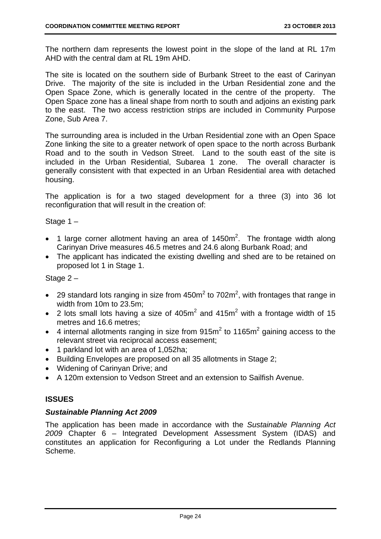The northern dam represents the lowest point in the slope of the land at RL 17m AHD with the central dam at RL 19m AHD.

The site is located on the southern side of Burbank Street to the east of Carinyan Drive. The majority of the site is included in the Urban Residential zone and the Open Space Zone, which is generally located in the centre of the property. The Open Space zone has a lineal shape from north to south and adjoins an existing park to the east. The two access restriction strips are included in Community Purpose Zone, Sub Area 7.

The surrounding area is included in the Urban Residential zone with an Open Space Zone linking the site to a greater network of open space to the north across Burbank Road and to the south in Vedson Street. Land to the south east of the site is included in the Urban Residential, Subarea 1 zone. The overall character is generally consistent with that expected in an Urban Residential area with detached housing.

The application is for a two staged development for a three (3) into 36 lot reconfiguration that will result in the creation of:

Stage 1 –

- 1 large corner allotment having an area of  $1450m^2$ . The frontage width along Carinyan Drive measures 46.5 metres and 24.6 along Burbank Road; and
- The applicant has indicated the existing dwelling and shed are to be retained on proposed lot 1 in Stage 1.

# Stage 2 –

- 29 standard lots ranging in size from  $450m^2$  to  $702m^2$ , with frontages that range in width from 10m to 23.5m;
- 2 lots small lots having a size of  $405m^2$  and  $415m^2$  with a frontage width of 15 metres and 16.6 metres;
- 4 internal allotments ranging in size from  $915m^2$  to  $1165m^2$  gaining access to the relevant street via reciprocal access easement;
- 1 parkland lot with an area of 1,052ha:
- Building Envelopes are proposed on all 35 allotments in Stage 2;
- Widening of Carinyan Drive; and
- A 120m extension to Vedson Street and an extension to Sailfish Avenue.

# **ISSUES**

# *Sustainable Planning Act 2009*

The application has been made in accordance with the *Sustainable Planning Act 2009* Chapter 6 – Integrated Development Assessment System (IDAS) and constitutes an application for Reconfiguring a Lot under the Redlands Planning Scheme.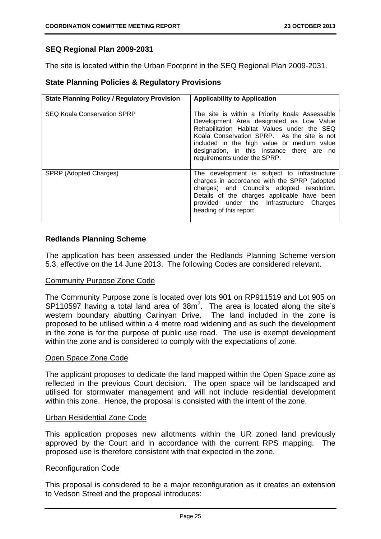# **SEQ Regional Plan 2009-2031**

The site is located within the Urban Footprint in the SEQ Regional Plan 2009-2031.

# **State Planning Policies & Regulatory Provisions**

| <b>State Planning Policy / Regulatory Provision</b> | <b>Applicability to Application</b>                                                                                                                                                                                                                                                                                  |
|-----------------------------------------------------|----------------------------------------------------------------------------------------------------------------------------------------------------------------------------------------------------------------------------------------------------------------------------------------------------------------------|
| <b>SEQ Koala Conservation SPRP</b>                  | The site is within a Priority Koala Assessable<br>Development Area designated as Low Value<br>Rehabilitation Habitat Values under the SEQ<br>Koala Conservation SPRP. As the site is not<br>included in the high value or medium value<br>designation, in this instance there are no<br>requirements under the SPRP. |
| SPRP (Adopted Charges)                              | The development is subject to infrastructure<br>charges in accordance with the SPRP (adopted<br>charges) and Council's adopted resolution.<br>Details of the charges applicable have been<br>provided under the Infrastructure Charges<br>heading of this report.                                                    |

# **Redlands Planning Scheme**

The application has been assessed under the Redlands Planning Scheme version 5.3, effective on the 14 June 2013. The following Codes are considered relevant.

#### Community Purpose Zone Code

The Community Purpose zone is located over lots 901 on RP911519 and Lot 905 on  $SP110597$  having a total land area of  $38m^2$ . The area is located along the site's western boundary abutting Carinyan Drive. The land included in the zone is proposed to be utilised within a 4 metre road widening and as such the development in the zone is for the purpose of public use road. The use is exempt development within the zone and is considered to comply with the expectations of zone.

#### Open Space Zone Code

The applicant proposes to dedicate the land mapped within the Open Space zone as reflected in the previous Court decision. The open space will be landscaped and utilised for stormwater management and will not include residential development within this zone. Hence, the proposal is consisted with the intent of the zone.

#### Urban Residential Zone Code

This application proposes new allotments within the UR zoned land previously approved by the Court and in accordance with the current RPS mapping. The proposed use is therefore consistent with that expected in the zone.

#### Reconfiguration Code

This proposal is considered to be a major reconfiguration as it creates an extension to Vedson Street and the proposal introduces: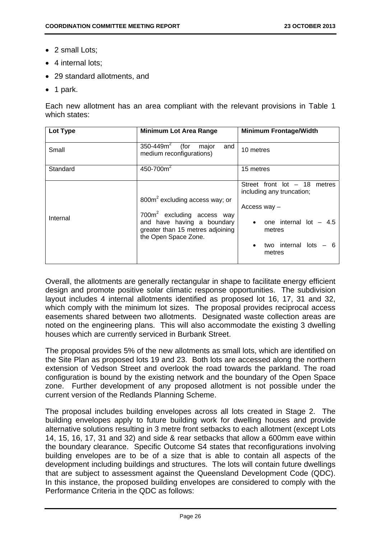- 2 small Lots;
- 4 internal lots:
- 29 standard allotments, and
- $\bullet$  1 park.

Each new allotment has an area compliant with the relevant provisions in Table 1 which states:

| Lot Type | <b>Minimum Lot Area Range</b>                                                                                                                                                  | <b>Minimum Frontage/Width</b>                                                                                                                      |
|----------|--------------------------------------------------------------------------------------------------------------------------------------------------------------------------------|----------------------------------------------------------------------------------------------------------------------------------------------------|
| Small    | $350 - 449m^2$<br>(for<br>major<br>and<br>medium reconfigurations)                                                                                                             | 10 metres                                                                                                                                          |
| Standard | 450-700 $m2$                                                                                                                                                                   | 15 metres                                                                                                                                          |
| Internal | 800m <sup>2</sup> excluding access way; or<br>700m <sup>2</sup> excluding access way<br>and have having a boundary<br>greater than 15 metres adjoining<br>the Open Space Zone. | Street front $lot - 18$<br>metres<br>including any truncation;<br>Access way -<br>one internal lot $-4.5$<br>metres<br>two internal lots<br>metres |

Overall, the allotments are generally rectangular in shape to facilitate energy efficient design and promote positive solar climatic response opportunities. The subdivision layout includes 4 internal allotments identified as proposed lot 16, 17, 31 and 32, which comply with the minimum lot sizes. The proposal provides reciprocal access easements shared between two allotments. Designated waste collection areas are noted on the engineering plans. This will also accommodate the existing 3 dwelling houses which are currently serviced in Burbank Street.

The proposal provides 5% of the new allotments as small lots, which are identified on the Site Plan as proposed lots 19 and 23. Both lots are accessed along the northern extension of Vedson Street and overlook the road towards the parkland. The road configuration is bound by the existing network and the boundary of the Open Space zone. Further development of any proposed allotment is not possible under the current version of the Redlands Planning Scheme.

The proposal includes building envelopes across all lots created in Stage 2. The building envelopes apply to future building work for dwelling houses and provide alternative solutions resulting in 3 metre front setbacks to each allotment (except Lots 14, 15, 16, 17, 31 and 32) and side & rear setbacks that allow a 600mm eave within the boundary clearance. Specific Outcome S4 states that reconfigurations involving building envelopes are to be of a size that is able to contain all aspects of the development including buildings and structures. The lots will contain future dwellings that are subject to assessment against the Queensland Development Code (QDC). In this instance, the proposed building envelopes are considered to comply with the Performance Criteria in the QDC as follows: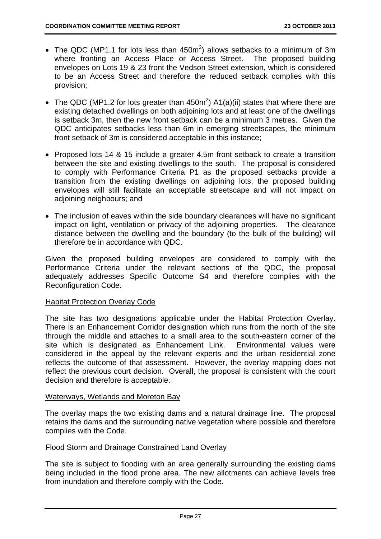- The QDC (MP1.1 for lots less than 450m<sup>2</sup>) allows setbacks to a minimum of 3m where fronting an Access Place or Access Street. The proposed building envelopes on Lots 19 & 23 front the Vedson Street extension, which is considered to be an Access Street and therefore the reduced setback complies with this provision;
- The QDC (MP1.2 for lots greater than  $450m^2$ ) A1(a)(ii) states that where there are existing detached dwellings on both adjoining lots and at least one of the dwellings is setback 3m, then the new front setback can be a minimum 3 metres. Given the QDC anticipates setbacks less than 6m in emerging streetscapes, the minimum front setback of 3m is considered acceptable in this instance;
- Proposed lots 14 & 15 include a greater 4.5m front setback to create a transition between the site and existing dwellings to the south. The proposal is considered to comply with Performance Criteria P1 as the proposed setbacks provide a transition from the existing dwellings on adjoining lots, the proposed building envelopes will still facilitate an acceptable streetscape and will not impact on adjoining neighbours; and
- The inclusion of eaves within the side boundary clearances will have no significant impact on light, ventilation or privacy of the adjoining properties. The clearance distance between the dwelling and the boundary (to the bulk of the building) will therefore be in accordance with QDC.

Given the proposed building envelopes are considered to comply with the Performance Criteria under the relevant sections of the QDC, the proposal adequately addresses Specific Outcome S4 and therefore complies with the Reconfiguration Code.

#### Habitat Protection Overlay Code

The site has two designations applicable under the Habitat Protection Overlay. There is an Enhancement Corridor designation which runs from the north of the site through the middle and attaches to a small area to the south-eastern corner of the site which is designated as Enhancement Link. Environmental values were considered in the appeal by the relevant experts and the urban residential zone reflects the outcome of that assessment. However, the overlay mapping does not reflect the previous court decision. Overall, the proposal is consistent with the court decision and therefore is acceptable.

#### Waterways, Wetlands and Moreton Bay

The overlay maps the two existing dams and a natural drainage line. The proposal retains the dams and the surrounding native vegetation where possible and therefore complies with the Code.

#### Flood Storm and Drainage Constrained Land Overlay

The site is subject to flooding with an area generally surrounding the existing dams being included in the flood prone area. The new allotments can achieve levels free from inundation and therefore comply with the Code.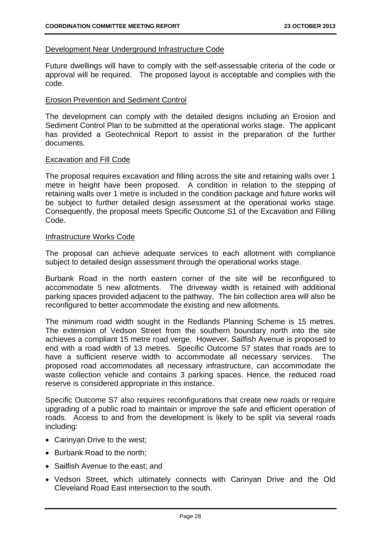# Development Near Underground Infrastructure Code

Future dwellings will have to comply with the self-assessable criteria of the code or approval will be required. The proposed layout is acceptable and complies with the code.

#### Erosion Prevention and Sediment Control

The development can comply with the detailed designs including an Erosion and Sediment Control Plan to be submitted at the operational works stage. The applicant has provided a Geotechnical Report to assist in the preparation of the further documents.

#### Excavation and Fill Code

The proposal requires excavation and filling across the site and retaining walls over 1 metre in height have been proposed. A condition in relation to the stepping of retaining walls over 1 metre is included in the condition package and future works will be subject to further detailed design assessment at the operational works stage. Consequently, the proposal meets Specific Outcome S1 of the Excavation and Filling Code.

#### Infrastructure Works Code

The proposal can achieve adequate services to each allotment with compliance subject to detailed design assessment through the operational works stage.

Burbank Road in the north eastern corner of the site will be reconfigured to accommodate 5 new allotments. The driveway width is retained with additional parking spaces provided adjacent to the pathway. The bin collection area will also be reconfigured to better accommodate the existing and new allotments.

The minimum road width sought in the Redlands Planning Scheme is 15 metres. The extension of Vedson Street from the southern boundary north into the site achieves a compliant 15 metre road verge. However, Sailfish Avenue is proposed to end with a road width of 13 metres. Specific Outcome S7 states that roads are to have a sufficient reserve width to accommodate all necessary services. The proposed road accommodates all necessary infrastructure, can accommodate the waste collection vehicle and contains 3 parking spaces. Hence, the reduced road reserve is considered appropriate in this instance.

Specific Outcome S7 also requires reconfigurations that create new roads or require upgrading of a public road to maintain or improve the safe and efficient operation of roads. Access to and from the development is likely to be split via several roads including:

- Carinyan Drive to the west;
- Burbank Road to the north:
- Sailfish Avenue to the east; and
- Vedson Street, which ultimately connects with Carinyan Drive and the Old Cleveland Road East intersection to the south.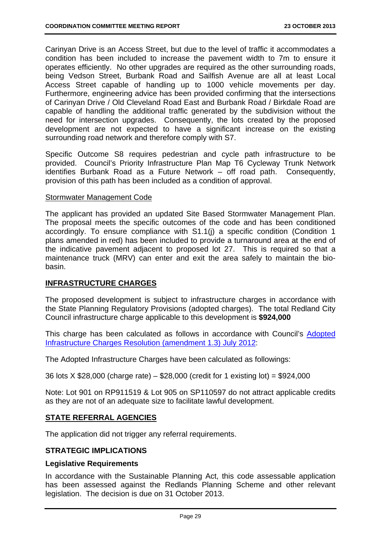Carinyan Drive is an Access Street, but due to the level of traffic it accommodates a condition has been included to increase the pavement width to 7m to ensure it operates efficiently. No other upgrades are required as the other surrounding roads, being Vedson Street, Burbank Road and Sailfish Avenue are all at least Local Access Street capable of handling up to 1000 vehicle movements per day. Furthermore, engineering advice has been provided confirming that the intersections of Carinyan Drive / Old Cleveland Road East and Burbank Road / Birkdale Road are capable of handling the additional traffic generated by the subdivision without the need for intersection upgrades. Consequently, the lots created by the proposed development are not expected to have a significant increase on the existing surrounding road network and therefore comply with S7.

Specific Outcome S8 requires pedestrian and cycle path infrastructure to be provided. Council's Priority Infrastructure Plan Map T6 Cycleway Trunk Network identifies Burbank Road as a Future Network – off road path. Consequently, provision of this path has been included as a condition of approval.

#### Stormwater Management Code

The applicant has provided an updated Site Based Stormwater Management Plan. The proposal meets the specific outcomes of the code and has been conditioned accordingly. To ensure compliance with S1.1(j) a specific condition (Condition 1 plans amended in red) has been included to provide a turnaround area at the end of the indicative pavement adjacent to proposed lot 27. This is required so that a maintenance truck (MRV) can enter and exit the area safely to maintain the biobasin.

# **INFRASTRUCTURE CHARGES**

The proposed development is subject to infrastructure charges in accordance with the State Planning Regulatory Provisions (adopted charges). The total Redland City Council infrastructure charge applicable to this development is **\$924,000**

This charge has been calculated as follows in accordance with Council's Adopted Infrastructure Charges Resolution (amendment 1.3) July 2012:

The Adopted Infrastructure Charges have been calculated as followings:

36 lots X \$28,000 (charge rate) – \$28,000 (credit for 1 existing lot) = \$924,000

Note: Lot 901 on RP911519 & Lot 905 on SP110597 do not attract applicable credits as they are not of an adequate size to facilitate lawful development.

# **STATE REFERRAL AGENCIES**

The application did not trigger any referral requirements.

# **STRATEGIC IMPLICATIONS**

#### **Legislative Requirements**

In accordance with the Sustainable Planning Act, this code assessable application has been assessed against the Redlands Planning Scheme and other relevant legislation. The decision is due on 31 October 2013.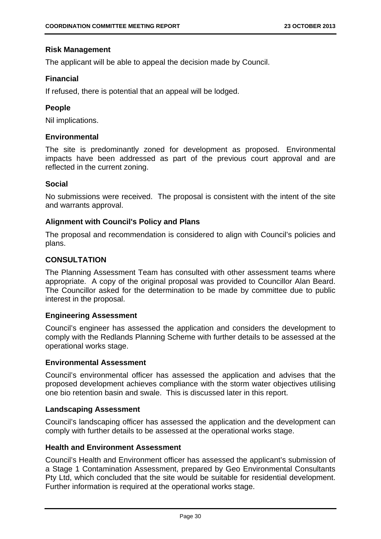# **Risk Management**

The applicant will be able to appeal the decision made by Council.

# **Financial**

If refused, there is potential that an appeal will be lodged.

# **People**

Nil implications.

# **Environmental**

The site is predominantly zoned for development as proposed. Environmental impacts have been addressed as part of the previous court approval and are reflected in the current zoning.

# **Social**

No submissions were received. The proposal is consistent with the intent of the site and warrants approval.

# **Alignment with Council's Policy and Plans**

The proposal and recommendation is considered to align with Council's policies and plans.

# **CONSULTATION**

The Planning Assessment Team has consulted with other assessment teams where appropriate. A copy of the original proposal was provided to Councillor Alan Beard. The Councillor asked for the determination to be made by committee due to public interest in the proposal.

#### **Engineering Assessment**

Council's engineer has assessed the application and considers the development to comply with the Redlands Planning Scheme with further details to be assessed at the operational works stage.

#### **Environmental Assessment**

Council's environmental officer has assessed the application and advises that the proposed development achieves compliance with the storm water objectives utilising one bio retention basin and swale. This is discussed later in this report.

#### **Landscaping Assessment**

Council's landscaping officer has assessed the application and the development can comply with further details to be assessed at the operational works stage.

#### **Health and Environment Assessment**

Council's Health and Environment officer has assessed the applicant's submission of a Stage 1 Contamination Assessment, prepared by Geo Environmental Consultants Pty Ltd, which concluded that the site would be suitable for residential development. Further information is required at the operational works stage.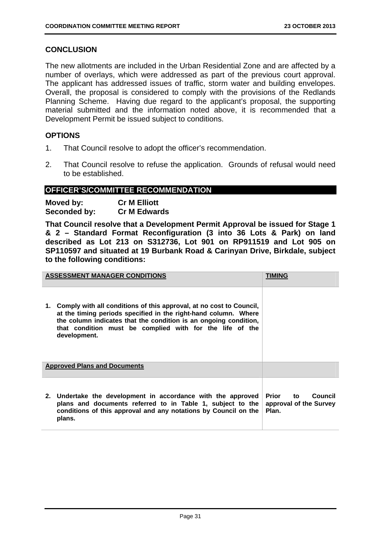# **CONCLUSION**

The new allotments are included in the Urban Residential Zone and are affected by a number of overlays, which were addressed as part of the previous court approval. The applicant has addressed issues of traffic, storm water and building envelopes. Overall, the proposal is considered to comply with the provisions of the Redlands Planning Scheme. Having due regard to the applicant's proposal, the supporting material submitted and the information noted above, it is recommended that a Development Permit be issued subject to conditions.

# **OPTIONS**

- 1. That Council resolve to adopt the officer's recommendation.
- 2. That Council resolve to refuse the application. Grounds of refusal would need to be established.

# **OFFICER'S/COMMITTEE RECOMMENDATION**

| Moved by:    | <b>Cr M Elliott</b> |
|--------------|---------------------|
| Seconded by: | <b>Cr M Edwards</b> |

**That Council resolve that a Development Permit Approval be issued for Stage 1 & 2 – Standard Format Reconfiguration (3 into 36 Lots & Park) on land described as Lot 213 on S312736, Lot 901 on RP911519 and Lot 905 on SP110597 and situated at 19 Burbank Road & Carinyan Drive, Birkdale, subject to the following conditions:** 

|    | <b>ASSESSMENT MANAGER CONDITIONS</b>                                                                                                                                                                                                                                                   | TIMING                                                 |
|----|----------------------------------------------------------------------------------------------------------------------------------------------------------------------------------------------------------------------------------------------------------------------------------------|--------------------------------------------------------|
| 1. | Comply with all conditions of this approval, at no cost to Council,<br>at the timing periods specified in the right-hand column. Where<br>the column indicates that the condition is an ongoing condition,<br>that condition must be complied with for the life of the<br>development. |                                                        |
|    | <b>Approved Plans and Documents</b>                                                                                                                                                                                                                                                    |                                                        |
|    | 2. Undertake the development in accordance with the approved<br>plans and documents referred to in Table 1, subject to the<br>conditions of this approval and any notations by Council on the<br>plans.                                                                                | Prior to<br>Council<br>approval of the Survey<br>Plan. |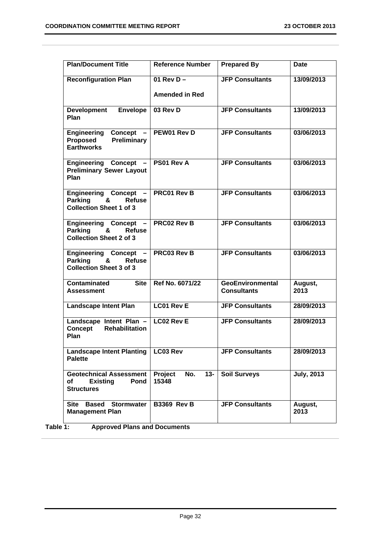| <b>Plan/Document Title</b>                                                                           | <b>Reference Number</b>               | <b>Prepared By</b>                            | <b>Date</b>       |
|------------------------------------------------------------------------------------------------------|---------------------------------------|-----------------------------------------------|-------------------|
| <b>Reconfiguration Plan</b>                                                                          | 01 Rev D $-$<br><b>Amended in Red</b> | <b>JFP Consultants</b>                        | 13/09/2013        |
| <b>Envelope</b><br><b>Development</b><br>Plan                                                        | 03 Rev D                              | <b>JFP Consultants</b>                        | 13/09/2013        |
| Engineering Concept -<br><b>Preliminary</b><br><b>Proposed</b><br><b>Earthworks</b>                  | PEW01 Rev D                           | <b>JFP Consultants</b>                        | 03/06/2013        |
| <b>Engineering Concept</b><br><b>Preliminary Sewer Layout</b><br>Plan                                | PS01 Rev A                            | <b>JFP Consultants</b>                        | 03/06/2013        |
| <b>Engineering Concept</b><br><b>Refuse</b><br><b>Parking</b><br>&<br><b>Collection Sheet 1 of 3</b> | <b>PRC01 Rev B</b>                    | <b>JFP Consultants</b>                        | 03/06/2013        |
| Engineering Concept -<br><b>Parking</b><br>&<br><b>Refuse</b><br><b>Collection Sheet 2 of 3</b>      | <b>PRC02 Rev B</b>                    | <b>JFP Consultants</b>                        | 03/06/2013        |
| <b>Engineering Concept</b><br>&<br>Parking<br><b>Refuse</b><br><b>Collection Sheet 3 of 3</b>        | PRC03 Rev B                           | <b>JFP Consultants</b>                        | 03/06/2013        |
| <b>Site</b><br><b>Contaminated</b><br><b>Assessment</b>                                              | Ref No. 6071/22                       | <b>GeoEnvironmental</b><br><b>Consultants</b> | August,<br>2013   |
| <b>Landscape Intent Plan</b>                                                                         | <b>LC01 Rev E</b>                     | <b>JFP Consultants</b>                        | 28/09/2013        |
| Landscape Intent Plan $-$ LC02 Rev E<br>Concept<br><b>Rehabilitation</b><br>Plan                     |                                       | <b>JFP Consultants</b>                        | 28/09/2013        |
| <b>Landscape Intent Planting</b><br><b>Palette</b>                                                   | LC03 Rev                              | <b>JFP Consultants</b>                        | 28/09/2013        |
| <b>Geotechnical Assessment</b><br>Pond<br>Οf<br><b>Existing</b><br><b>Structures</b>                 | Project<br>No.<br>$13 -$<br>15348     | <b>Soil Surveys</b>                           | <b>July, 2013</b> |
| Site Based Stormwater<br><b>Management Plan</b>                                                      | <b>B3369 Rev B</b>                    | <b>JFP Consultants</b>                        | August,<br>2013   |

**Table 1: Approved Plans and Documents**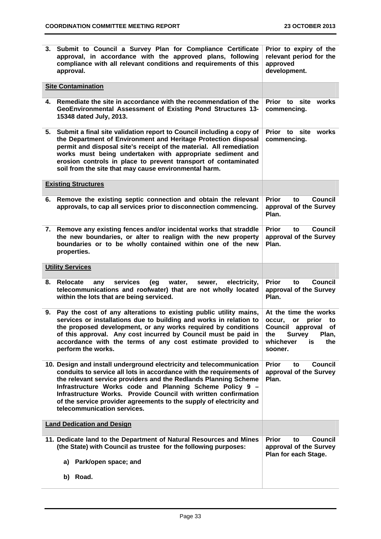| 3. Submit to Council a Survey Plan for Compliance Certificate<br>approval, in accordance with the approved plans, following<br>compliance with all relevant conditions and requirements of this<br>approval.                                                                                                                                                                                                                                        | Prior to expiry of the<br>relevant period for the<br>approved<br>development.                                                                           |
|-----------------------------------------------------------------------------------------------------------------------------------------------------------------------------------------------------------------------------------------------------------------------------------------------------------------------------------------------------------------------------------------------------------------------------------------------------|---------------------------------------------------------------------------------------------------------------------------------------------------------|
| <b>Site Contamination</b>                                                                                                                                                                                                                                                                                                                                                                                                                           |                                                                                                                                                         |
| Remediate the site in accordance with the recommendation of the<br>4.<br>GeoEnvironmental Assessment of Existing Pond Structures 13-<br>15348 dated July, 2013.                                                                                                                                                                                                                                                                                     | Prior to site<br>works<br>commencing.                                                                                                                   |
| Submit a final site validation report to Council including a copy of<br>5.<br>the Department of Environment and Heritage Protection disposal<br>permit and disposal site's receipt of the material. All remediation<br>works must being undertaken with appropriate sediment and<br>erosion controls in place to prevent transport of contaminated<br>soil from the site that may cause environmental harm.                                         | Prior to site<br>works<br>commencing.                                                                                                                   |
| <b>Existing Structures</b>                                                                                                                                                                                                                                                                                                                                                                                                                          |                                                                                                                                                         |
| Remove the existing septic connection and obtain the relevant<br>6.<br>approvals, to cap all services prior to disconnection commencing.                                                                                                                                                                                                                                                                                                            | <b>Prior</b><br><b>Council</b><br>to<br>approval of the Survey<br>Plan.                                                                                 |
| Remove any existing fences and/or incidental works that straddle<br>7.<br>the new boundaries, or alter to realign with the new property<br>boundaries or to be wholly contained within one of the new<br>properties.                                                                                                                                                                                                                                | <b>Prior</b><br><b>Council</b><br>to<br>approval of the Survey<br>Plan.                                                                                 |
| <b>Utility Services</b>                                                                                                                                                                                                                                                                                                                                                                                                                             |                                                                                                                                                         |
| <b>Relocate</b><br>services<br>electricity,<br>(eg<br>water,<br>sewer,<br>8.<br>any<br>telecommunications and roofwater) that are not wholly located<br>within the lots that are being serviced.                                                                                                                                                                                                                                                    | <b>Prior</b><br><b>Council</b><br>to<br>approval of the Survey<br>Plan.                                                                                 |
| Pay the cost of any alterations to existing public utility mains,<br>9.<br>services or installations due to building and works in relation to<br>the proposed development, or any works required by conditions<br>of this approval. Any cost incurred by Council must be paid in<br>accordance with the terms of any cost estimate provided to<br>perform the works.                                                                                | At the time the works<br>occur,<br>prior<br>or<br>to<br>Council<br>approval<br>οf<br>the<br><b>Survey</b><br>Plan,<br>whichever<br>the<br>is<br>sooner. |
| 10. Design and install underground electricity and telecommunication<br>conduits to service all lots in accordance with the requirements of<br>the relevant service providers and the Redlands Planning Scheme<br>Infrastructure Works code and Planning Scheme Policy 9 -<br>Infrastructure Works. Provide Council with written confirmation<br>of the service provider agreements to the supply of electricity and<br>telecommunication services. | <b>Prior</b><br><b>Council</b><br>to<br>approval of the Survey<br>Plan.                                                                                 |
| <b>Land Dedication and Design</b>                                                                                                                                                                                                                                                                                                                                                                                                                   |                                                                                                                                                         |
| 11. Dedicate land to the Department of Natural Resources and Mines<br>(the State) with Council as trustee for the following purposes:<br>Park/open space; and<br>a)<br>Road.<br>b)                                                                                                                                                                                                                                                                  | <b>Council</b><br>Prior<br>to<br>approval of the Survey<br>Plan for each Stage.                                                                         |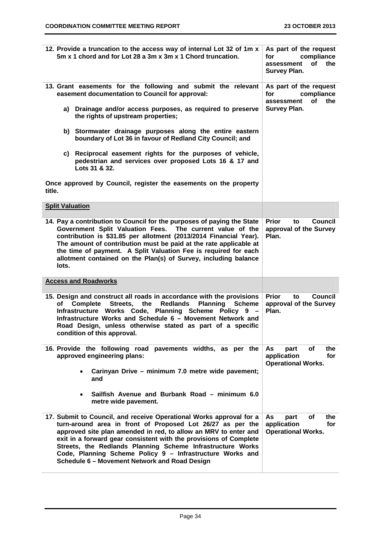| 12. Provide a truncation to the access way of internal Lot 32 of 1m x<br>5m x 1 chord and for Lot 28 a 3m x 3m x 1 Chord truncation.                                                                                                                                                                                                                                                                                                                  | As part of the request<br>for<br>compliance<br>Οf<br>the<br>assessment<br><b>Survey Plan.</b> |
|-------------------------------------------------------------------------------------------------------------------------------------------------------------------------------------------------------------------------------------------------------------------------------------------------------------------------------------------------------------------------------------------------------------------------------------------------------|-----------------------------------------------------------------------------------------------|
| 13. Grant easements for the following and submit the relevant<br>easement documentation to Council for approval:                                                                                                                                                                                                                                                                                                                                      | As part of the request<br>for<br>compliance<br>of<br>the<br>assessment                        |
| a) Drainage and/or access purposes, as required to preserve<br>the rights of upstream properties;                                                                                                                                                                                                                                                                                                                                                     | <b>Survey Plan.</b>                                                                           |
| b) Stormwater drainage purposes along the entire eastern<br>boundary of Lot 36 in favour of Redland City Council; and                                                                                                                                                                                                                                                                                                                                 |                                                                                               |
| c) Reciprocal easement rights for the purposes of vehicle,<br>pedestrian and services over proposed Lots 16 & 17 and<br>Lots 31 & 32.                                                                                                                                                                                                                                                                                                                 |                                                                                               |
| Once approved by Council, register the easements on the property<br>title.                                                                                                                                                                                                                                                                                                                                                                            |                                                                                               |
| <b>Split Valuation</b>                                                                                                                                                                                                                                                                                                                                                                                                                                |                                                                                               |
| 14. Pay a contribution to Council for the purposes of paying the State<br>Government Split Valuation Fees. The current value of the<br>contribution is \$31.85 per allotment (2013/2014 Financial Year).<br>The amount of contribution must be paid at the rate applicable at<br>the time of payment. A Split Valuation Fee is required for each<br>allotment contained on the Plan(s) of Survey, including balance<br>lots.                          | <b>Prior</b><br>Council<br>to<br>approval of the Survey<br>Plan.                              |
| <b>Access and Roadworks</b>                                                                                                                                                                                                                                                                                                                                                                                                                           |                                                                                               |
| 15. Design and construct all roads in accordance with the provisions<br>Streets.<br>the<br><b>Redlands</b><br><b>Planning</b><br>Complete<br><b>Scheme</b><br>of<br>Infrastructure Works Code, Planning Scheme Policy 9 -<br>Infrastructure Works and Schedule 6 - Movement Network and<br>Road Design, unless otherwise stated as part of a specific<br>condition of this approval.                                                                  | <b>Prior</b><br><b>Council</b><br>to<br>approval of the Survey<br>Plan.                       |
| 16. Provide the following road pavements widths, as per the<br>approved engineering plans:                                                                                                                                                                                                                                                                                                                                                            | οf<br>the<br>As<br>part<br>application<br>for<br><b>Operational Works.</b>                    |
| Carinyan Drive - minimum 7.0 metre wide pavement;<br>$\bullet$<br>and                                                                                                                                                                                                                                                                                                                                                                                 |                                                                                               |
| Sailfish Avenue and Burbank Road - minimum 6.0<br>$\bullet$<br>metre wide pavement.                                                                                                                                                                                                                                                                                                                                                                   |                                                                                               |
| 17. Submit to Council, and receive Operational Works approval for a<br>turn-around area in front of Proposed Lot 26/27 as per the<br>approved site plan amended in red, to allow an MRV to enter and<br>exit in a forward gear consistent with the provisions of Complete<br>Streets, the Redlands Planning Scheme Infrastructure Works<br>Code, Planning Scheme Policy 9 - Infrastructure Works and<br>Schedule 6 - Movement Network and Road Design | As<br>part<br>οf<br>the<br>application<br>for<br><b>Operational Works.</b>                    |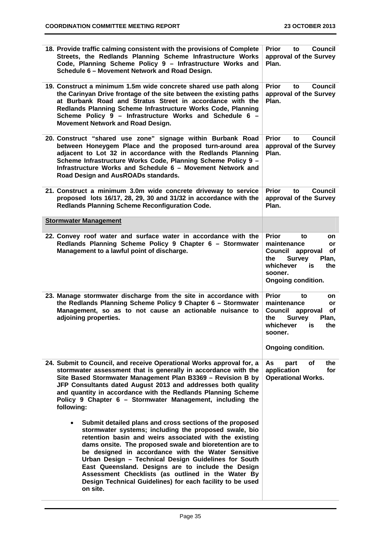| 18. Provide traffic calming consistent with the provisions of Complete<br>Streets, the Redlands Planning Scheme Infrastructure Works<br>Code, Planning Scheme Policy 9 - Infrastructure Works and<br>Schedule 6 - Movement Network and Road Design.                                                                                                                                                                                                                                                                                                    | <b>Prior</b><br><b>Council</b><br>to<br>approval of the Survey<br>Plan.                                                                                                                     |
|--------------------------------------------------------------------------------------------------------------------------------------------------------------------------------------------------------------------------------------------------------------------------------------------------------------------------------------------------------------------------------------------------------------------------------------------------------------------------------------------------------------------------------------------------------|---------------------------------------------------------------------------------------------------------------------------------------------------------------------------------------------|
| 19. Construct a minimum 1.5m wide concrete shared use path along<br>the Carinyan Drive frontage of the site between the existing paths<br>at Burbank Road and Stratus Street in accordance with the<br>Redlands Planning Scheme Infrastructure Works Code, Planning<br>Scheme Policy 9 - Infrastructure Works and Schedule 6 -<br>Movement Network and Road Design.                                                                                                                                                                                    | <b>Prior</b><br><b>Council</b><br>to<br>approval of the Survey<br>Plan.                                                                                                                     |
| 20. Construct "shared use zone" signage within Burbank Road<br>between Honeygem Place and the proposed turn-around area<br>adjacent to Lot 32 in accordance with the Redlands Planning<br>Scheme Infrastructure Works Code, Planning Scheme Policy 9 -<br>Infrastructure Works and Schedule 6 - Movement Network and<br>Road Design and AusROADs standards.                                                                                                                                                                                            | <b>Prior</b><br>Council<br>to<br>approval of the Survey<br>Plan.                                                                                                                            |
| 21. Construct a minimum 3.0m wide concrete driveway to service<br>proposed lots 16/17, 28, 29, 30 and 31/32 in accordance with the<br><b>Redlands Planning Scheme Reconfiguration Code.</b>                                                                                                                                                                                                                                                                                                                                                            | <b>Prior</b><br><b>Council</b><br>to<br>approval of the Survey<br>Plan.                                                                                                                     |
| <b>Stormwater Management</b>                                                                                                                                                                                                                                                                                                                                                                                                                                                                                                                           |                                                                                                                                                                                             |
| 22. Convey roof water and surface water in accordance with the<br>Redlands Planning Scheme Policy 9 Chapter 6 - Stormwater<br>Management to a lawful point of discharge.                                                                                                                                                                                                                                                                                                                                                                               | <b>Prior</b><br>to<br>on<br>maintenance<br>or<br>Council approval<br><b>of</b><br><b>Survey</b><br>Plan.<br>the<br>whichever<br>is<br>the<br>sooner.<br><b>Ongoing condition.</b>           |
| 23. Manage stormwater discharge from the site in accordance with<br>the Redlands Planning Scheme Policy 9 Chapter 6 - Stormwater<br>Management, so as to not cause an actionable nuisance to<br>adjoining properties.                                                                                                                                                                                                                                                                                                                                  | <b>Prior</b><br>to<br>on<br>maintenance<br>or<br><b>Council</b><br><b>of</b><br>approval<br>the<br><b>Survey</b><br>Plan,<br>whichever<br>is<br>the<br>sooner.<br><b>Ongoing condition.</b> |
| 24. Submit to Council, and receive Operational Works approval for, a<br>stormwater assessment that is generally in accordance with the<br>Site Based Stormwater Management Plan B3369 - Revision B by<br>JFP Consultants dated August 2013 and addresses both quality<br>and quantity in accordance with the Redlands Planning Scheme<br>Policy 9 Chapter 6 - Stormwater Management, including the<br>following:                                                                                                                                       | of<br>As<br>the<br>part<br>application<br>for<br><b>Operational Works.</b>                                                                                                                  |
| Submit detailed plans and cross sections of the proposed<br>$\bullet$<br>stormwater systems; including the proposed swale, bio<br>retention basin and weirs associated with the existing<br>dams onsite. The proposed swale and bioretention are to<br>be designed in accordance with the Water Sensitive<br>Urban Design - Technical Design Guidelines for South<br>East Queensland. Designs are to include the Design<br>Assessment Checklists (as outlined in the Water By<br>Design Technical Guidelines) for each facility to be used<br>on site. |                                                                                                                                                                                             |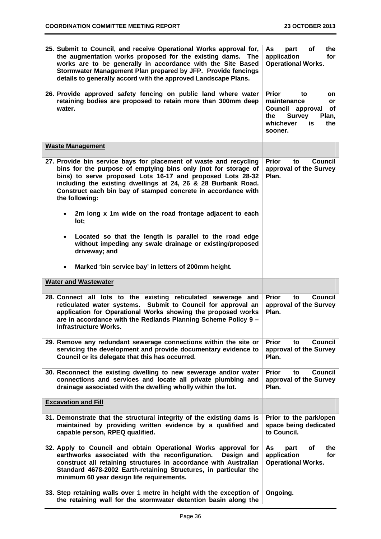| 25. Submit to Council, and receive Operational Works approval for,<br>the augmentation works proposed for the existing dams. The<br>works are to be generally in accordance with the Site Based<br>Stormwater Management Plan prepared by JFP. Provide fencings<br>details to generally accord with the approved Landscape Plans.                     | of<br>As<br>the<br>part<br>application<br>for<br><b>Operational Works.</b>                                                                           |
|-------------------------------------------------------------------------------------------------------------------------------------------------------------------------------------------------------------------------------------------------------------------------------------------------------------------------------------------------------|------------------------------------------------------------------------------------------------------------------------------------------------------|
| 26. Provide approved safety fencing on public land where water<br>retaining bodies are proposed to retain more than 300mm deep<br>water.                                                                                                                                                                                                              | <b>Prior</b><br>to<br>on<br>maintenance<br><b>or</b><br>Council approval<br>of<br><b>Survey</b><br>the<br>Plan,<br>whichever<br>is<br>the<br>sooner. |
| <b>Waste Management</b>                                                                                                                                                                                                                                                                                                                               |                                                                                                                                                      |
| 27. Provide bin service bays for placement of waste and recycling<br>bins for the purpose of emptying bins only (not for storage of<br>bins) to serve proposed Lots 16-17 and proposed Lots 28-32<br>including the existing dwellings at 24, 26 & 28 Burbank Road.<br>Construct each bin bay of stamped concrete in accordance with<br>the following: | <b>Prior</b><br><b>Council</b><br>to<br>approval of the Survey<br>Plan.                                                                              |
| 2m long x 1m wide on the road frontage adjacent to each<br>lot;                                                                                                                                                                                                                                                                                       |                                                                                                                                                      |
| Located so that the length is parallel to the road edge<br>$\bullet$<br>without impeding any swale drainage or existing/proposed<br>driveway; and                                                                                                                                                                                                     |                                                                                                                                                      |
| Marked 'bin service bay' in letters of 200mm height.<br>$\bullet$                                                                                                                                                                                                                                                                                     |                                                                                                                                                      |
| <b>Water and Wastewater</b>                                                                                                                                                                                                                                                                                                                           |                                                                                                                                                      |
|                                                                                                                                                                                                                                                                                                                                                       |                                                                                                                                                      |
| 28. Connect all lots to the existing reticulated sewerage and<br>reticulated water systems. Submit to Council for approval an<br>application for Operational Works showing the proposed works<br>are in accordance with the Redlands Planning Scheme Policy 9 -<br><b>Infrastructure Works.</b>                                                       | <b>Prior</b><br><b>Council</b><br>to<br>approval of the Survey<br>Plan.                                                                              |
| 29. Remove any redundant sewerage connections within the site or<br>servicing the development and provide documentary evidence to<br>Council or its delegate that this has occurred.                                                                                                                                                                  | <b>Prior</b><br><b>Council</b><br>to<br>approval of the Survey<br>Plan.                                                                              |
| 30. Reconnect the existing dwelling to new sewerage and/or water<br>connections and services and locate all private plumbing and<br>drainage associated with the dwelling wholly within the lot.                                                                                                                                                      | <b>Prior</b><br><b>Council</b><br>to<br>approval of the Survey<br>Plan.                                                                              |
| <b>Excavation and Fill</b>                                                                                                                                                                                                                                                                                                                            |                                                                                                                                                      |
| 31. Demonstrate that the structural integrity of the existing dams is<br>maintained by providing written evidence by a qualified and<br>capable person, RPEQ qualified.                                                                                                                                                                               | Prior to the park/open<br>space being dedicated<br>to Council.                                                                                       |
| 32. Apply to Council and obtain Operational Works approval for<br>earthworks associated with the reconfiguration.<br>Design and<br>construct all retaining structures in accordance with Australian<br>Standard 4678-2002 Earth-retaining Structures, in particular the<br>minimum 60 year design life requirements.                                  | of<br>the<br>As<br>part<br>application<br>for<br><b>Operational Works.</b>                                                                           |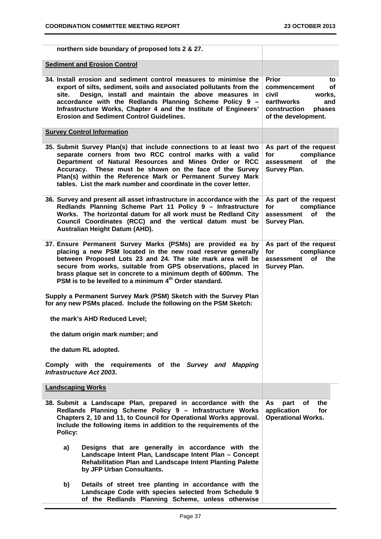| northern side boundary of proposed lots 2 & 27.                                                                                                                                                                                                                                                                                                                                                  |                                                                                                                                          |  |  |  |  |
|--------------------------------------------------------------------------------------------------------------------------------------------------------------------------------------------------------------------------------------------------------------------------------------------------------------------------------------------------------------------------------------------------|------------------------------------------------------------------------------------------------------------------------------------------|--|--|--|--|
| <b>Sediment and Erosion Control</b>                                                                                                                                                                                                                                                                                                                                                              |                                                                                                                                          |  |  |  |  |
| 34. Install erosion and sediment control measures to minimise the<br>export of silts, sediment, soils and associated pollutants from the<br>Design, install and maintain the above measures in<br>site.<br>accordance with the Redlands Planning Scheme Policy 9 -<br>Infrastructure Works, Chapter 4 and the Institute of Engineers'<br><b>Erosion and Sediment Control Guidelines.</b>         | <b>Prior</b><br>to<br><b>of</b><br>commencement<br>civil<br>works.<br>earthworks<br>and<br>construction<br>phases<br>of the development. |  |  |  |  |
| <b>Survey Control Information</b>                                                                                                                                                                                                                                                                                                                                                                |                                                                                                                                          |  |  |  |  |
| 35. Submit Survey Plan(s) that include connections to at least two<br>separate corners from two RCC control marks with a valid<br>Department of Natural Resources and Mines Order or RCC<br>Accuracy. These must be shown on the face of the Survey<br>Plan(s) within the Reference Mark or Permanent Survey Mark<br>tables. List the mark number and coordinate in the cover letter.            | As part of the request<br>compliance<br>for<br>the<br>assessment<br><b>of</b><br><b>Survey Plan.</b>                                     |  |  |  |  |
| 36. Survey and present all asset infrastructure in accordance with the<br>Redlands Planning Scheme Part 11 Policy 9 - Infrastructure<br>Works. The horizontal datum for all work must be Redland City<br>Council Coordinates (RCC) and the vertical datum must be<br>Australian Height Datum (AHD).                                                                                              | As part of the request<br>compliance<br>for<br><b>of</b><br>the<br>assessment<br><b>Survey Plan.</b>                                     |  |  |  |  |
| 37. Ensure Permanent Survey Marks (PSMs) are provided ea by<br>placing a new PSM located in the new road reserve generally<br>between Proposed Lots 23 and 24. The site mark area will be<br>secure from works, suitable from GPS observations, placed in<br>brass plaque set in concrete to a minimum depth of 600mm. The<br>PSM is to be levelled to a minimum 4 <sup>th</sup> Order standard. | As part of the request<br>compliance<br>for<br>the<br>assessment<br>of<br><b>Survey Plan.</b>                                            |  |  |  |  |
| Supply a Permanent Survey Mark (PSM) Sketch with the Survey Plan<br>for any new PSMs placed. Include the following on the PSM Sketch:                                                                                                                                                                                                                                                            |                                                                                                                                          |  |  |  |  |
| the mark's AHD Reduced Level;                                                                                                                                                                                                                                                                                                                                                                    |                                                                                                                                          |  |  |  |  |
| the datum origin mark number; and                                                                                                                                                                                                                                                                                                                                                                |                                                                                                                                          |  |  |  |  |
| the datum RL adopted.                                                                                                                                                                                                                                                                                                                                                                            |                                                                                                                                          |  |  |  |  |
| Comply with the requirements of the Survey and Mapping<br><b>Infrastructure Act 2003.</b>                                                                                                                                                                                                                                                                                                        |                                                                                                                                          |  |  |  |  |
| <b>Landscaping Works</b>                                                                                                                                                                                                                                                                                                                                                                         |                                                                                                                                          |  |  |  |  |
| 38. Submit a Landscape Plan, prepared in accordance with the<br>Redlands Planning Scheme Policy 9 - Infrastructure Works<br>Chapters 2, 10 and 11, to Council for Operational Works approval.<br>Include the following items in addition to the requirements of the<br>Policy:                                                                                                                   | of<br>As<br>part<br>the<br>application<br>for<br><b>Operational Works.</b>                                                               |  |  |  |  |
| Designs that are generally in accordance with the<br>a)<br>Landscape Intent Plan, Landscape Intent Plan - Concept<br>Rehabilitation Plan and Landscape Intent Planting Palette<br>by JFP Urban Consultants.                                                                                                                                                                                      |                                                                                                                                          |  |  |  |  |
| Details of street tree planting in accordance with the<br>b)<br>Landscape Code with species selected from Schedule 9<br>of the Redlands Planning Scheme, unless otherwise                                                                                                                                                                                                                        |                                                                                                                                          |  |  |  |  |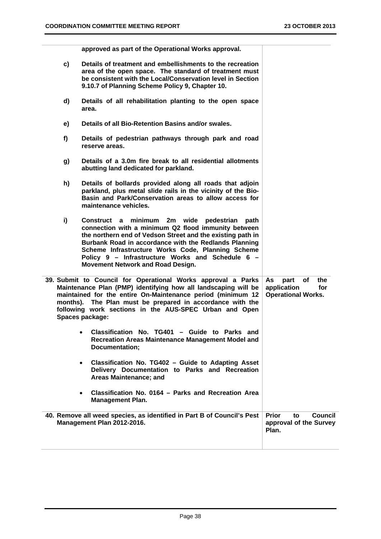|    | approved as part of the Operational Works approval.                                                                                                                                                                                                                                                                                                                              |                                                                            |
|----|----------------------------------------------------------------------------------------------------------------------------------------------------------------------------------------------------------------------------------------------------------------------------------------------------------------------------------------------------------------------------------|----------------------------------------------------------------------------|
| c) | Details of treatment and embellishments to the recreation<br>area of the open space. The standard of treatment must<br>be consistent with the Local/Conservation level in Section<br>9.10.7 of Planning Scheme Policy 9, Chapter 10.                                                                                                                                             |                                                                            |
| d) | Details of all rehabilitation planting to the open space<br>area.                                                                                                                                                                                                                                                                                                                |                                                                            |
| e) | Details of all Bio-Retention Basins and/or swales.                                                                                                                                                                                                                                                                                                                               |                                                                            |
| f) | Details of pedestrian pathways through park and road<br>reserve areas.                                                                                                                                                                                                                                                                                                           |                                                                            |
| g) | Details of a 3.0m fire break to all residential allotments<br>abutting land dedicated for parkland.                                                                                                                                                                                                                                                                              |                                                                            |
| h) | Details of bollards provided along all roads that adjoin<br>parkland, plus metal slide rails in the vicinity of the Bio-<br>Basin and Park/Conservation areas to allow access for<br>maintenance vehicles.                                                                                                                                                                       |                                                                            |
| i) | minimum 2m wide<br>pedestrian<br>path<br>Construct a<br>connection with a minimum Q2 flood immunity between<br>the northern end of Vedson Street and the existing path in<br>Burbank Road in accordance with the Redlands Planning<br>Scheme Infrastructure Works Code, Planning Scheme<br>Policy 9 - Infrastructure Works and Schedule 6 -<br>Movement Network and Road Design. |                                                                            |
|    | 39. Submit to Council for Operational Works approval a Parks<br>Maintenance Plan (PMP) identifying how all landscaping will be<br>maintained for the entire On-Maintenance period (minimum 12<br>months). The Plan must be prepared in accordance with the<br>following work sections in the AUS-SPEC Urban and Open<br>Spaces package:                                          | of<br>the<br>As<br>part<br>application<br>for<br><b>Operational Works.</b> |
|    | Classification No. TG401 - Guide to Parks and<br>$\bullet$<br>Recreation Areas Maintenance Management Model and<br>Documentation;                                                                                                                                                                                                                                                |                                                                            |
|    | Classification No. TG402 - Guide to Adapting Asset<br>$\bullet$<br>Delivery Documentation to Parks and Recreation<br>Areas Maintenance; and                                                                                                                                                                                                                                      |                                                                            |
|    | Classification No. 0164 - Parks and Recreation Area<br>$\bullet$<br><b>Management Plan.</b>                                                                                                                                                                                                                                                                                      |                                                                            |
|    | 40. Remove all weed species, as identified in Part B of Council's Pest<br>Management Plan 2012-2016.                                                                                                                                                                                                                                                                             | <b>Prior</b><br><b>Council</b><br>to<br>approval of the Survey<br>Plan.    |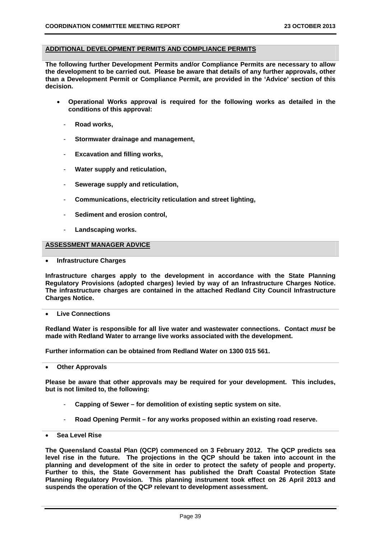#### **ADDITIONAL DEVELOPMENT PERMITS AND COMPLIANCE PERMITS**

**The following further Development Permits and/or Compliance Permits are necessary to allow the development to be carried out. Please be aware that details of any further approvals, other than a Development Permit or Compliance Permit, are provided in the 'Advice' section of this decision.** 

- **Operational Works approval is required for the following works as detailed in the conditions of this approval:** 
	- **Road works,**
	- **Stormwater drainage and management,**
	- **Excavation and filling works,**
	- **Water supply and reticulation,**
	- **Sewerage supply and reticulation,**
	- **Communications, electricity reticulation and street lighting,**
	- **Sediment and erosion control,**
	- Landscaping works.

#### **ASSESSMENT MANAGER ADVICE**

**Infrastructure Charges** 

**Infrastructure charges apply to the development in accordance with the State Planning Regulatory Provisions (adopted charges) levied by way of an Infrastructure Charges Notice. The infrastructure charges are contained in the attached Redland City Council Infrastructure Charges Notice.** 

**Live Connections** 

**Redland Water is responsible for all live water and wastewater connections. Contact** *must* **be made with Redland Water to arrange live works associated with the development.** 

**Further information can be obtained from Redland Water on 1300 015 561.** 

**Other Approvals** 

**Please be aware that other approvals may be required for your development. This includes, but is not limited to, the following:** 

- **Capping of Sewer for demolition of existing septic system on site.**
- **Road Opening Permit for any works proposed within an existing road reserve.**
- **Sea Level Rise**

**The Queensland Coastal Plan (QCP) commenced on 3 February 2012. The QCP predicts sea level rise in the future. The projections in the QCP should be taken into account in the planning and development of the site in order to protect the safety of people and property. Further to this, the State Government has published the Draft Coastal Protection State Planning Regulatory Provision. This planning instrument took effect on 26 April 2013 and suspends the operation of the QCP relevant to development assessment.**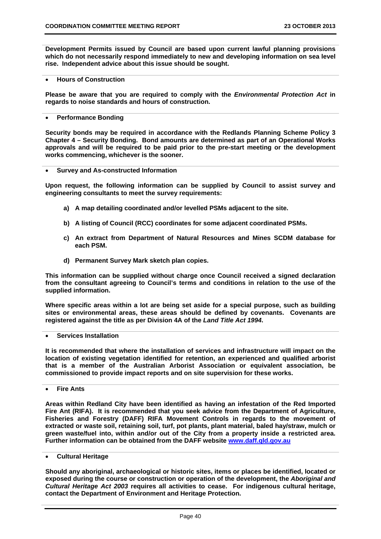**Development Permits issued by Council are based upon current lawful planning provisions which do not necessarily respond immediately to new and developing information on sea level rise. Independent advice about this issue should be sought.** 

**Hours of Construction** 

**Please be aware that you are required to comply with the** *Environmental Protection Act* **in regards to noise standards and hours of construction.** 

#### **Performance Bonding**

**Security bonds may be required in accordance with the Redlands Planning Scheme Policy 3 Chapter 4 – Security Bonding. Bond amounts are determined as part of an Operational Works approvals and will be required to be paid prior to the pre-start meeting or the development works commencing, whichever is the sooner.** 

**Survey and As-constructed Information** 

**Upon request, the following information can be supplied by Council to assist survey and engineering consultants to meet the survey requirements:** 

- **a) A map detailing coordinated and/or levelled PSMs adjacent to the site.**
- **b) A listing of Council (RCC) coordinates for some adjacent coordinated PSMs.**
- **c) An extract from Department of Natural Resources and Mines SCDM database for each PSM.**
- **d) Permanent Survey Mark sketch plan copies.**

**This information can be supplied without charge once Council received a signed declaration from the consultant agreeing to Council's terms and conditions in relation to the use of the supplied information.** 

**Where specific areas within a lot are being set aside for a special purpose, such as building sites or environmental areas, these areas should be defined by covenants. Covenants are registered against the title as per Division 4A of the** *Land Title Act 1994***.** 

#### **Services Installation**

**It is recommended that where the installation of services and infrastructure will impact on the location of existing vegetation identified for retention, an experienced and qualified arborist that is a member of the Australian Arborist Association or equivalent association, be commissioned to provide impact reports and on site supervision for these works.** 

**Fire Ants** 

**Areas within Redland City have been identified as having an infestation of the Red Imported Fire Ant (RIFA). It is recommended that you seek advice from the Department of Agriculture, Fisheries and Forestry (DAFF) RIFA Movement Controls in regards to the movement of extracted or waste soil, retaining soil, turf, pot plants, plant material, baled hay/straw, mulch or green waste/fuel into, within and/or out of the City from a property inside a restricted area. Further information can be obtained from the DAFF website www.daff.qld.gov.au**

#### **Cultural Heritage**

**Should any aboriginal, archaeological or historic sites, items or places be identified, located or exposed during the course or construction or operation of the development, the** *Aboriginal and Cultural Heritage Act 2003* **requires all activities to cease. For indigenous cultural heritage, contact the Department of Environment and Heritage Protection.**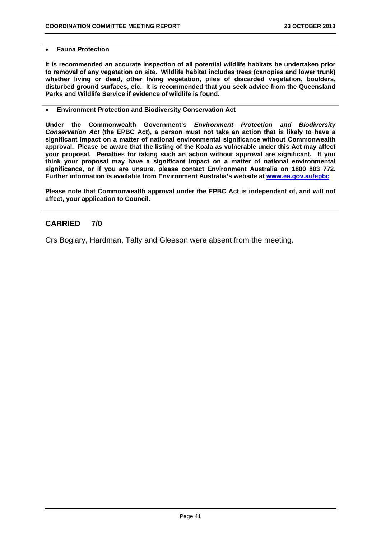#### **Fauna Protection**

**It is recommended an accurate inspection of all potential wildlife habitats be undertaken prior to removal of any vegetation on site. Wildlife habitat includes trees (canopies and lower trunk) whether living or dead, other living vegetation, piles of discarded vegetation, boulders, disturbed ground surfaces, etc. It is recommended that you seek advice from the Queensland Parks and Wildlife Service if evidence of wildlife is found.** 

#### **Environment Protection and Biodiversity Conservation Act**

**Under the Commonwealth Government's** *Environment Protection and Biodiversity Conservation Act* **(the EPBC Act), a person must not take an action that is likely to have a significant impact on a matter of national environmental significance without Commonwealth approval. Please be aware that the listing of the Koala as vulnerable under this Act may affect your proposal. Penalties for taking such an action without approval are significant. If you think your proposal may have a significant impact on a matter of national environmental significance, or if you are unsure, please contact Environment Australia on 1800 803 772. Further information is available from Environment Australia's website at www.ea.gov.au/epbc**

**Please note that Commonwealth approval under the EPBC Act is independent of, and will not affect, your application to Council.** 

#### **CARRIED 7/0**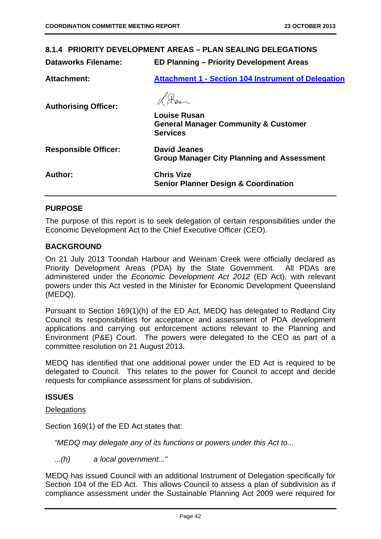| 8.1.4 PRIORITY DEVELOPMENT AREAS - PLAN SEALING DELEGATIONS |                                                                                           |  |  |  |
|-------------------------------------------------------------|-------------------------------------------------------------------------------------------|--|--|--|
| <b>Dataworks Filename:</b>                                  | <b>ED Planning - Priority Development Areas</b>                                           |  |  |  |
| <b>Attachment:</b>                                          | <b>Attachment 1 - Section 104 Instrument of Delegation</b>                                |  |  |  |
| <b>Authorising Officer:</b>                                 |                                                                                           |  |  |  |
|                                                             | <b>Louise Rusan</b><br><b>General Manager Community &amp; Customer</b><br><b>Services</b> |  |  |  |
| <b>Responsible Officer:</b>                                 | <b>David Jeanes</b><br><b>Group Manager City Planning and Assessment</b>                  |  |  |  |
| Author:                                                     | <b>Chris Vize</b><br><b>Senior Planner Design &amp; Coordination</b>                      |  |  |  |
|                                                             |                                                                                           |  |  |  |

# **PURPOSE**

The purpose of this report is to seek delegation of certain responsibilities under the Economic Development Act to the Chief Executive Officer (CEO).

#### **BACKGROUND**

On 21 July 2013 Toondah Harbour and Weinam Creek were officially declared as Priority Development Areas (PDA) by the State Government. All PDAs are administered under the *Economic Development Act 2012* (ED Act), with relevant powers under this Act vested in the Minister for Economic Development Queensland (MEDQ).

Pursuant to Section 169(1)(h) of the ED Act, MEDQ has delegated to Redland City Council its responsibilities for acceptance and assessment of PDA development applications and carrying out enforcement actions relevant to the Planning and Environment (P&E) Court. The powers were delegated to the CEO as part of a committee resolution on 21 August 2013.

MEDQ has identified that one additional power under the ED Act is required to be delegated to Council. This relates to the power for Council to accept and decide requests for compliance assessment for plans of subdivision.

#### **ISSUES**

#### **Delegations**

Section 169(1) of the ED Act states that:

*"MEDQ may delegate any of its functions or powers under this Act to...* 

*...(h) a local government..."* 

MEDQ has issued Council with an additional Instrument of Delegation specifically for Section 104 of the ED Act. This allows Council to assess a plan of subdivision as if compliance assessment under the Sustainable Planning Act 2009 were required for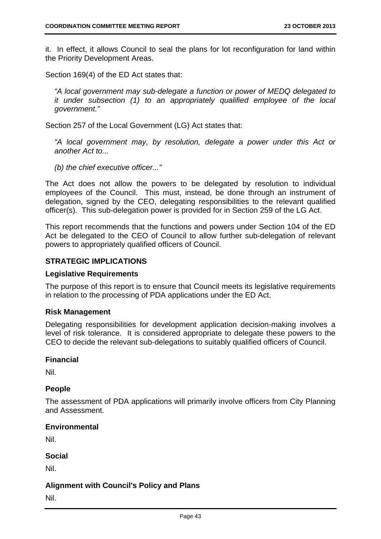it. In effect, it allows Council to seal the plans for lot reconfiguration for land within the Priority Development Areas.

Section 169(4) of the ED Act states that:

*"A local government may sub-delegate a function or power of MEDQ delegated to it under subsection (1) to an appropriately qualified employee of the local government."* 

Section 257 of the Local Government (LG) Act states that:

*"A local government may, by resolution, delegate a power under this Act or another Act to...* 

*(b) the chief executive officer..."* 

The Act does not allow the powers to be delegated by resolution to individual employees of the Council. This must, instead, be done through an instrument of delegation, signed by the CEO, delegating responsibilities to the relevant qualified officer(s). This sub-delegation power is provided for in Section 259 of the LG Act.

This report recommends that the functions and powers under Section 104 of the ED Act be delegated to the CEO of Council to allow further sub-delegation of relevant powers to appropriately qualified officers of Council.

# **STRATEGIC IMPLICATIONS**

#### **Legislative Requirements**

The purpose of this report is to ensure that Council meets its legislative requirements in relation to the processing of PDA applications under the ED Act.

#### **Risk Management**

Delegating responsibilities for development application decision-making involves a level of risk tolerance. It is considered appropriate to delegate these powers to the CEO to decide the relevant sub-delegations to suitably qualified officers of Council.

#### **Financial**

Nil.

#### **People**

The assessment of PDA applications will primarily involve officers from City Planning and Assessment.

#### **Environmental**

Nil.

# **Social**

Nil.

# **Alignment with Council's Policy and Plans**

Nil.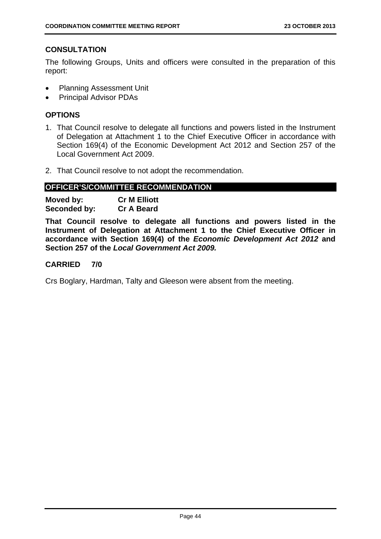# **CONSULTATION**

The following Groups, Units and officers were consulted in the preparation of this report:

- Planning Assessment Unit
- **•** Principal Advisor PDAs

# **OPTIONS**

- 1. That Council resolve to delegate all functions and powers listed in the Instrument of Delegation at Attachment 1 to the Chief Executive Officer in accordance with Section 169(4) of the Economic Development Act 2012 and Section 257 of the Local Government Act 2009.
- 2. That Council resolve to not adopt the recommendation.

# **OFFICER'S/COMMITTEE RECOMMENDATION**

| Moved by:    | <b>Cr M Elliott</b> |
|--------------|---------------------|
| Seconded by: | <b>Cr A Beard</b>   |

**That Council resolve to delegate all functions and powers listed in the Instrument of Delegation at Attachment 1 to the Chief Executive Officer in accordance with Section 169(4) of the** *Economic Development Act 2012* **and Section 257 of the** *Local Government Act 2009.* 

#### **CARRIED 7/0**